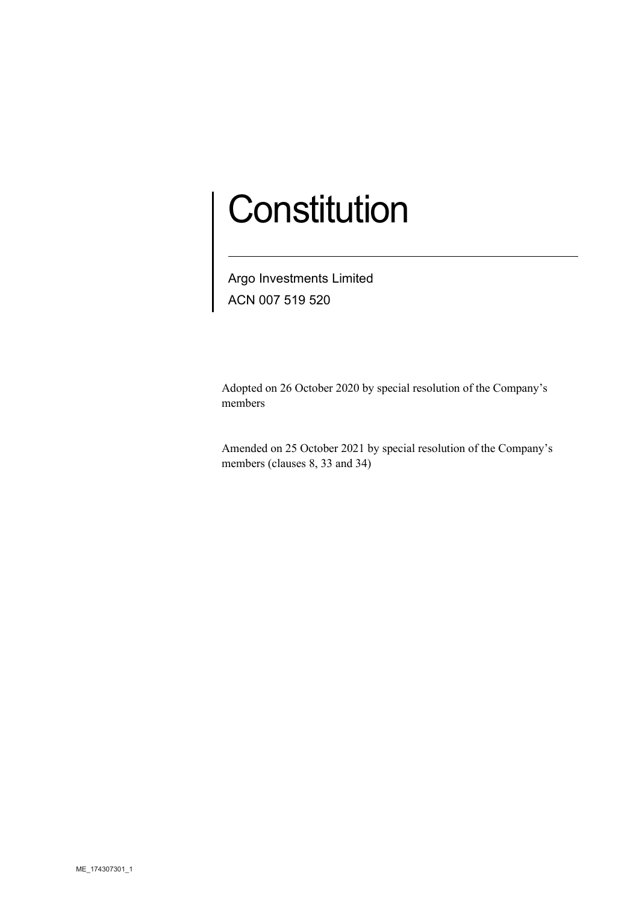# **Constitution**

Argo Investments Limited ACN 007 519 520

Adopted on 26 October 2020 by special resolution of the Company's members

Amended on 25 October 2021 by special resolution of the Company's members (clauses 8, 33 and 34)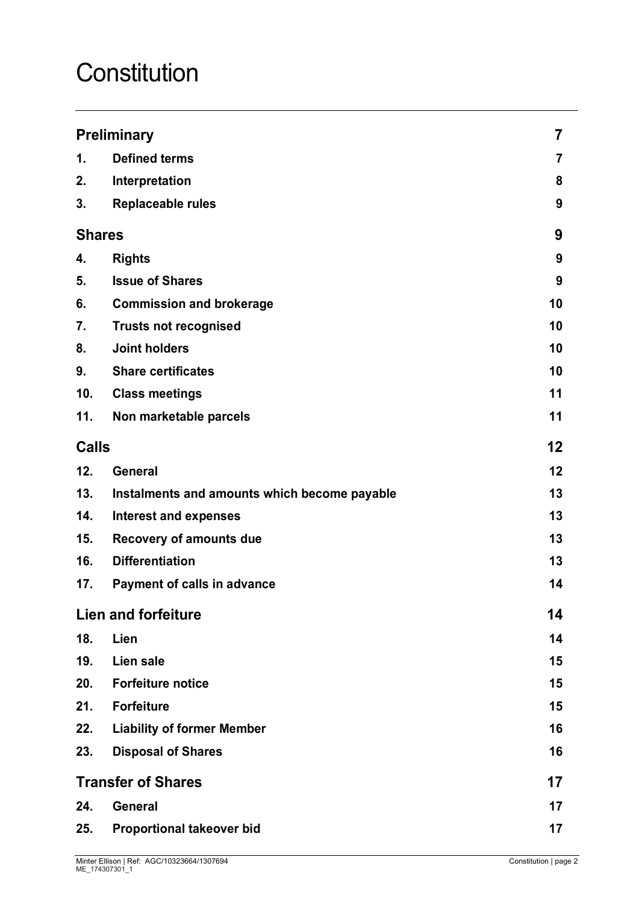# **Constitution**

| <b>Preliminary</b>        |                                              | 7       |
|---------------------------|----------------------------------------------|---------|
| 1.                        | <b>Defined terms</b>                         | 7       |
| 2.                        | Interpretation                               | 8       |
| 3.                        | <b>Replaceable rules</b>                     | 9       |
| <b>Shares</b>             |                                              | 9       |
| 4.                        | <b>Rights</b>                                | 9       |
| 5.                        | <b>Issue of Shares</b>                       | 9       |
| 6.                        | <b>Commission and brokerage</b>              | 10      |
| 7.                        | <b>Trusts not recognised</b>                 | 10      |
| 8.                        | <b>Joint holders</b>                         | 10      |
| 9.                        | <b>Share certificates</b>                    | 10      |
| 10.                       | <b>Class meetings</b>                        | 11      |
| 11.                       | Non marketable parcels                       | 11      |
| <b>Calls</b>              |                                              | $12 \,$ |
| 12.                       | <b>General</b>                               | 12      |
| 13.                       | Instalments and amounts which become payable | 13      |
| 14.                       | <b>Interest and expenses</b>                 | 13      |
| 15.                       | Recovery of amounts due                      | 13      |
| 16.                       | <b>Differentiation</b>                       | 13      |
| 17.                       | Payment of calls in advance                  | 14      |
|                           | <b>Lien and forfeiture</b>                   | 14      |
| 18.                       | Lien                                         | 14      |
| 19.                       | Lien sale                                    | 15      |
| 20.                       | <b>Forfeiture notice</b>                     | 15      |
| 21.                       | <b>Forfeiture</b>                            | 15      |
| 22.                       | <b>Liability of former Member</b>            | 16      |
| 23.                       | <b>Disposal of Shares</b>                    | 16      |
| <b>Transfer of Shares</b> |                                              | 17      |
| 24.                       | <b>General</b>                               | 17      |
| 25.                       | <b>Proportional takeover bid</b>             | 17      |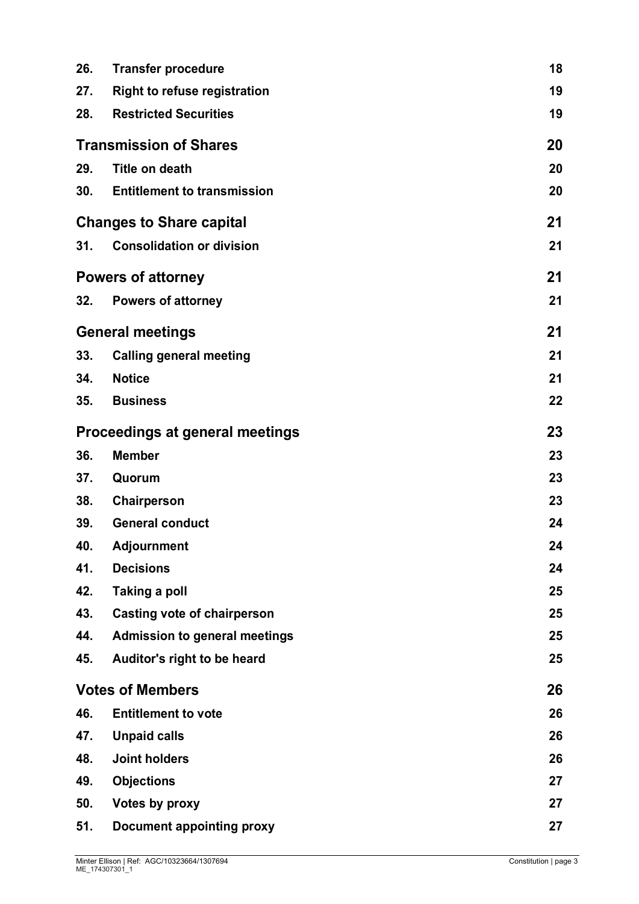| 26.                                    | <b>Transfer procedure</b>            | 18 |
|----------------------------------------|--------------------------------------|----|
| 27.                                    | <b>Right to refuse registration</b>  | 19 |
| 28.                                    | <b>Restricted Securities</b>         | 19 |
|                                        | <b>Transmission of Shares</b>        | 20 |
| 29.                                    | <b>Title on death</b>                | 20 |
| 30.                                    | <b>Entitlement to transmission</b>   | 20 |
|                                        | <b>Changes to Share capital</b>      | 21 |
| 31.                                    | <b>Consolidation or division</b>     | 21 |
| <b>Powers of attorney</b>              |                                      | 21 |
| 32.                                    | <b>Powers of attorney</b>            | 21 |
|                                        | <b>General meetings</b>              | 21 |
| 33.                                    | <b>Calling general meeting</b>       | 21 |
| 34.                                    | <b>Notice</b>                        | 21 |
| 35.                                    | <b>Business</b>                      | 22 |
| <b>Proceedings at general meetings</b> |                                      | 23 |
| 36.                                    | <b>Member</b>                        | 23 |
| 37.                                    | Quorum                               | 23 |
| 38.                                    | Chairperson                          | 23 |
| 39.                                    | <b>General conduct</b>               | 24 |
| 40.                                    | <b>Adjournment</b>                   | 24 |
| 41.                                    | <b>Decisions</b>                     | 24 |
| 42.                                    | <b>Taking a poll</b>                 | 25 |
| 43.                                    | <b>Casting vote of chairperson</b>   | 25 |
| 44.                                    | <b>Admission to general meetings</b> | 25 |
| 45.                                    | Auditor's right to be heard          | 25 |
|                                        | <b>Votes of Members</b>              | 26 |
| 46.                                    | <b>Entitlement to vote</b>           | 26 |
| 47.                                    | <b>Unpaid calls</b>                  | 26 |
| 48.                                    | <b>Joint holders</b>                 | 26 |
| 49.                                    | <b>Objections</b>                    | 27 |
| 50.                                    | <b>Votes by proxy</b>                | 27 |
| 51.                                    | <b>Document appointing proxy</b>     | 27 |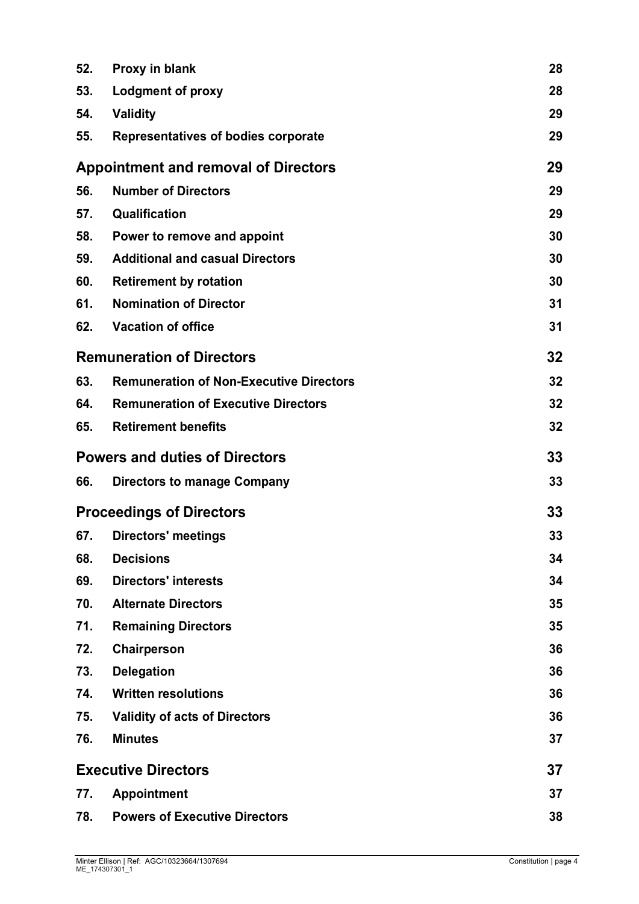| 52.                                         | Proxy in blank                                 | 28 |
|---------------------------------------------|------------------------------------------------|----|
| 53.                                         | <b>Lodgment of proxy</b>                       | 28 |
| 54.                                         | <b>Validity</b>                                | 29 |
| 55.                                         | Representatives of bodies corporate            | 29 |
| <b>Appointment and removal of Directors</b> |                                                | 29 |
| 56.                                         | <b>Number of Directors</b>                     | 29 |
| 57.                                         | Qualification                                  | 29 |
| 58.                                         | Power to remove and appoint                    | 30 |
| 59.                                         | <b>Additional and casual Directors</b>         | 30 |
| 60.                                         | <b>Retirement by rotation</b>                  | 30 |
| 61.                                         | <b>Nomination of Director</b>                  | 31 |
| 62.                                         | <b>Vacation of office</b>                      | 31 |
|                                             | <b>Remuneration of Directors</b>               | 32 |
| 63.                                         | <b>Remuneration of Non-Executive Directors</b> | 32 |
| 64.                                         | <b>Remuneration of Executive Directors</b>     | 32 |
| 65.                                         | <b>Retirement benefits</b>                     | 32 |
|                                             | <b>Powers and duties of Directors</b>          | 33 |
| 66.                                         | <b>Directors to manage Company</b>             | 33 |
|                                             | <b>Proceedings of Directors</b>                | 33 |
| 67.                                         | <b>Directors' meetings</b>                     | 33 |
| 68.                                         | <b>Decisions</b>                               | 34 |
| 69.                                         | <b>Directors' interests</b>                    | 34 |
| 70.                                         | <b>Alternate Directors</b>                     | 35 |
| 71.                                         | <b>Remaining Directors</b>                     | 35 |
| 72.                                         | Chairperson                                    | 36 |
| 73.                                         | <b>Delegation</b>                              | 36 |
| 74.                                         | <b>Written resolutions</b>                     | 36 |
| 75.                                         | <b>Validity of acts of Directors</b>           | 36 |
| 76.                                         | <b>Minutes</b>                                 | 37 |
|                                             | <b>Executive Directors</b>                     | 37 |
| 77.                                         | <b>Appointment</b>                             | 37 |
| 78.                                         | <b>Powers of Executive Directors</b>           | 38 |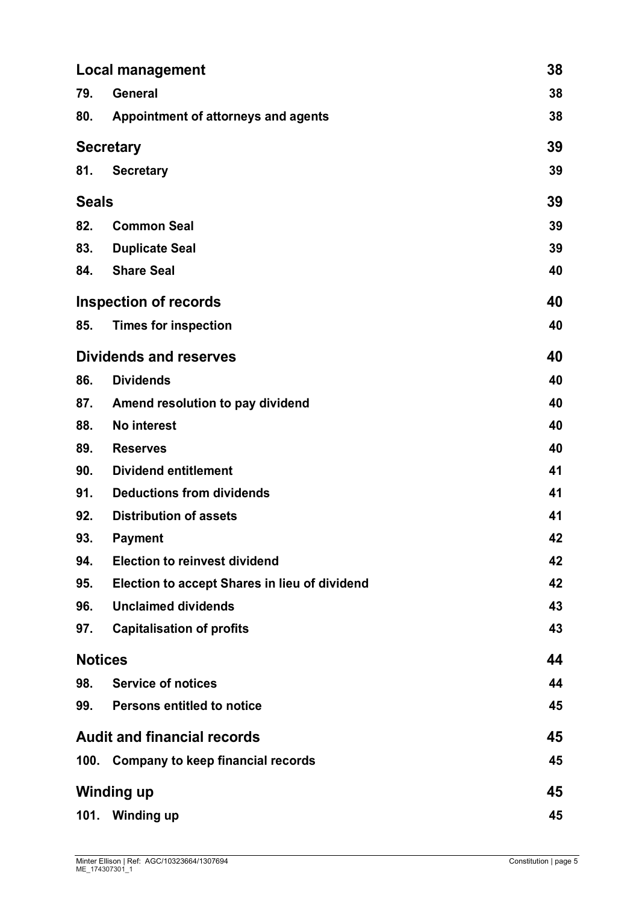|                                    | <b>Local management</b>                       |    |
|------------------------------------|-----------------------------------------------|----|
| 79.                                | <b>General</b>                                | 38 |
| 80.                                | Appointment of attorneys and agents           | 38 |
|                                    | <b>Secretary</b>                              | 39 |
| 81.                                | <b>Secretary</b>                              | 39 |
| <b>Seals</b>                       |                                               | 39 |
| 82.                                | <b>Common Seal</b>                            | 39 |
| 83.                                | <b>Duplicate Seal</b>                         | 39 |
| 84.                                | <b>Share Seal</b>                             | 40 |
|                                    | <b>Inspection of records</b>                  | 40 |
| 85.                                | <b>Times for inspection</b>                   | 40 |
|                                    | <b>Dividends and reserves</b>                 | 40 |
| 86.                                | <b>Dividends</b>                              | 40 |
| 87.                                | Amend resolution to pay dividend              | 40 |
| 88.                                | <b>No interest</b>                            | 40 |
| 89.                                | <b>Reserves</b>                               | 40 |
| 90.                                | <b>Dividend entitlement</b>                   | 41 |
| 91.                                | <b>Deductions from dividends</b>              | 41 |
| 92.                                | <b>Distribution of assets</b>                 | 41 |
| 93.                                | <b>Payment</b>                                | 42 |
| 94.                                | <b>Election to reinvest dividend</b>          | 42 |
| 95.                                | Election to accept Shares in lieu of dividend | 42 |
| 96.                                | <b>Unclaimed dividends</b>                    | 43 |
| 97.                                | <b>Capitalisation of profits</b>              | 43 |
|                                    | <b>Notices</b>                                | 44 |
| 98.                                | <b>Service of notices</b>                     | 44 |
| 99.                                | <b>Persons entitled to notice</b>             | 45 |
| <b>Audit and financial records</b> |                                               | 45 |
|                                    | 100. Company to keep financial records        | 45 |
| <b>Winding up</b>                  |                                               | 45 |
| 101.                               | <b>Winding up</b>                             | 45 |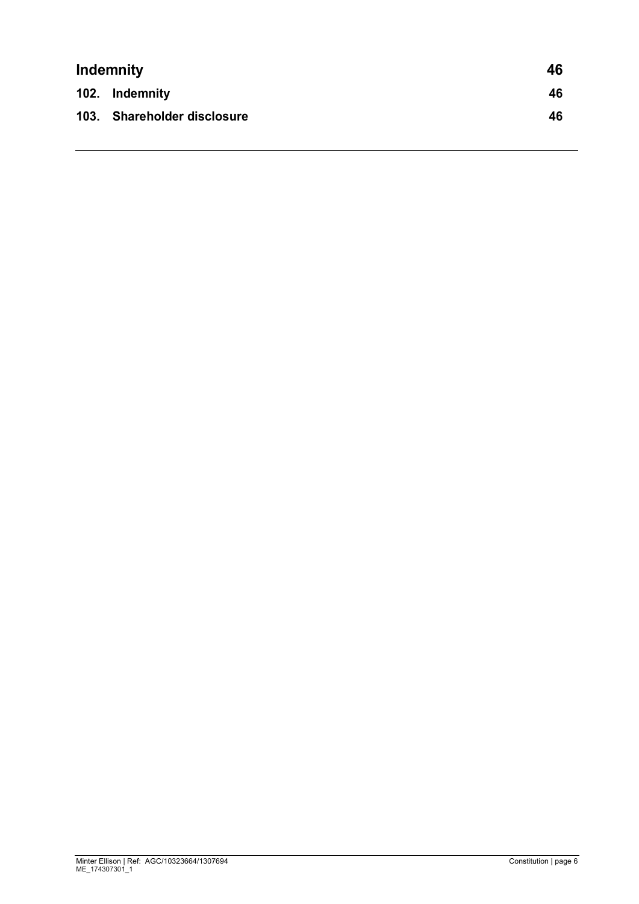| <b>Indemnity</b> |                             | 46 |
|------------------|-----------------------------|----|
|                  | 102. Indemnity              | 46 |
|                  | 103. Shareholder disclosure | 46 |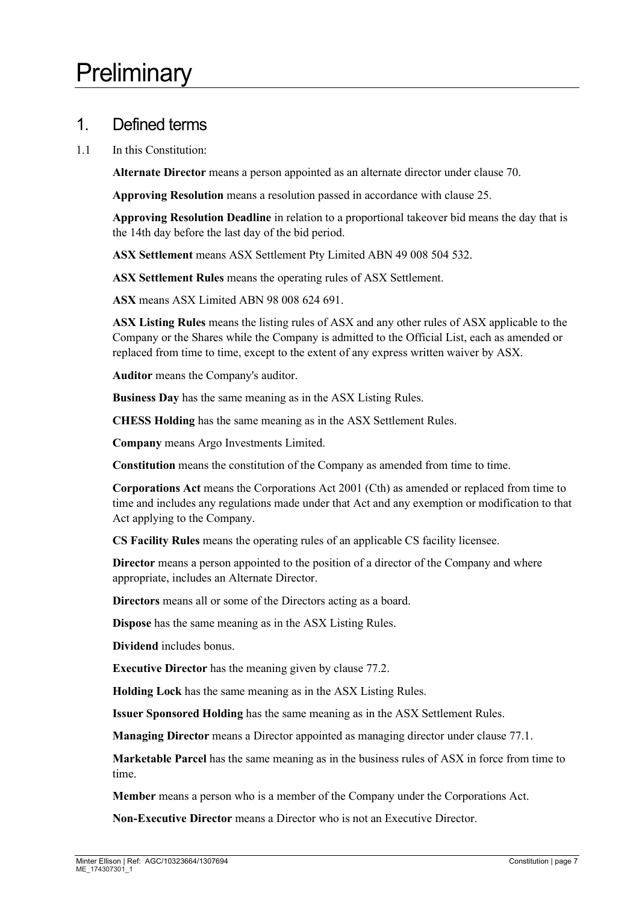#### 1. Defined terms

1.1 In this Constitution:

**Alternate Director** means a person appointed as an alternate director under clause [70.](#page-34-0)

**Approving Resolution** means a resolution passed in accordance with clause [25.](#page-16-0)

**Approving Resolution Deadline** in relation to a proportional takeover bid means the day that is the 14th day before the last day of the bid period.

**ASX Settlement** means ASX Settlement Pty Limited ABN 49 008 504 532.

**ASX Settlement Rules** means the operating rules of ASX Settlement.

**ASX** means ASX Limited ABN 98 008 624 691.

**ASX Listing Rules** means the listing rules of ASX and any other rules of ASX applicable to the Company or the Shares while the Company is admitted to the Official List, each as amended or replaced from time to time, except to the extent of any express written waiver by ASX.

**Auditor** means the Company's auditor.

**Business Day** has the same meaning as in the ASX Listing Rules.

**CHESS Holding** has the same meaning as in the ASX Settlement Rules.

**Company** means Argo Investments Limited.

**Constitution** means the constitution of the Company as amended from time to time.

**Corporations Act** means the Corporations Act 2001 (Cth) as amended or replaced from time to time and includes any regulations made under that Act and any exemption or modification to that Act applying to the Company.

**CS Facility Rules** means the operating rules of an applicable CS facility licensee.

**Director** means a person appointed to the position of a director of the Company and where appropriate, includes an Alternate Director.

**Directors** means all or some of the Directors acting as a board.

**Dispose** has the same meaning as in the ASX Listing Rules.

**Dividend** includes bonus.

**Executive Director** has the meaning given by clause [77.2.](#page-36-0)

**Holding Lock** has the same meaning as in the ASX Listing Rules.

**Issuer Sponsored Holding** has the same meaning as in the ASX Settlement Rules.

**Managing Director** means a Director appointed as managing director under clause [77.1.](#page-36-1)

**Marketable Parcel** has the same meaning as in the business rules of ASX in force from time to time.

**Member** means a person who is a member of the Company under the Corporations Act.

**Non-Executive Director** means a Director who is not an Executive Director.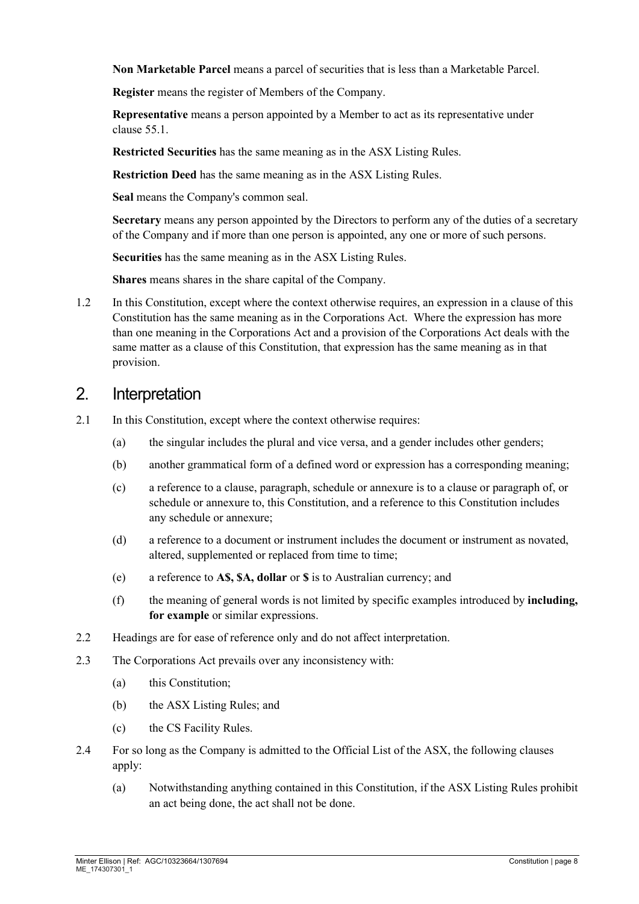**Non Marketable Parcel** means a parcel of securities that is less than a Marketable Parcel.

**Register** means the register of Members of the Company.

**Representative** means a person appointed by a Member to act as its representative under clause [55.1.](#page-28-0)

**Restricted Securities** has the same meaning as in the ASX Listing Rules.

**Restriction Deed** has the same meaning as in the ASX Listing Rules.

**Seal** means the Company's common seal.

**Secretary** means any person appointed by the Directors to perform any of the duties of a secretary of the Company and if more than one person is appointed, any one or more of such persons.

**Securities** has the same meaning as in the ASX Listing Rules.

**Shares** means shares in the share capital of the Company.

1.2 In this Constitution, except where the context otherwise requires, an expression in a clause of this Constitution has the same meaning as in the Corporations Act. Where the expression has more than one meaning in the Corporations Act and a provision of the Corporations Act deals with the same matter as a clause of this Constitution, that expression has the same meaning as in that provision.

#### 2. Interpretation

- 2.1 In this Constitution, except where the context otherwise requires:
	- (a) the singular includes the plural and vice versa, and a gender includes other genders;
	- (b) another grammatical form of a defined word or expression has a corresponding meaning;
	- (c) a reference to a clause, paragraph, schedule or annexure is to a clause or paragraph of, or schedule or annexure to, this Constitution, and a reference to this Constitution includes any schedule or annexure;
	- (d) a reference to a document or instrument includes the document or instrument as novated, altered, supplemented or replaced from time to time;
	- (e) a reference to **A\$, \$A, dollar** or **\$** is to Australian currency; and
	- (f) the meaning of general words is not limited by specific examples introduced by **including, for example** or similar expressions.
- 2.2 Headings are for ease of reference only and do not affect interpretation.
- 2.3 The Corporations Act prevails over any inconsistency with:
	- (a) this Constitution;
	- (b) the ASX Listing Rules; and
	- (c) the CS Facility Rules.
- 2.4 For so long as the Company is admitted to the Official List of the ASX, the following clauses apply:
	- (a) Notwithstanding anything contained in this Constitution, if the ASX Listing Rules prohibit an act being done, the act shall not be done.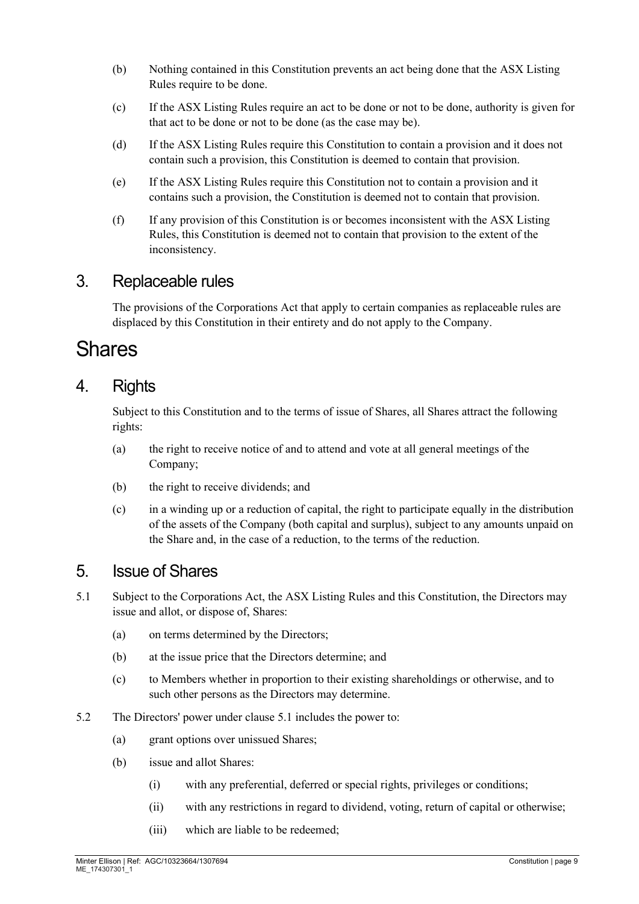- (b) Nothing contained in this Constitution prevents an act being done that the ASX Listing Rules require to be done.
- (c) If the ASX Listing Rules require an act to be done or not to be done, authority is given for that act to be done or not to be done (as the case may be).
- (d) If the ASX Listing Rules require this Constitution to contain a provision and it does not contain such a provision, this Constitution is deemed to contain that provision.
- (e) If the ASX Listing Rules require this Constitution not to contain a provision and it contains such a provision, the Constitution is deemed not to contain that provision.
- (f) If any provision of this Constitution is or becomes inconsistent with the ASX Listing Rules, this Constitution is deemed not to contain that provision to the extent of the inconsistency.

#### 3. Replaceable rules

The provisions of the Corporations Act that apply to certain companies as replaceable rules are displaced by this Constitution in their entirety and do not apply to the Company.

# Shares

#### 4. Rights

Subject to this Constitution and to the terms of issue of Shares, all Shares attract the following rights:

- (a) the right to receive notice of and to attend and vote at all general meetings of the Company;
- (b) the right to receive dividends; and
- (c) in a winding up or a reduction of capital, the right to participate equally in the distribution of the assets of the Company (both capital and surplus), subject to any amounts unpaid on the Share and, in the case of a reduction, to the terms of the reduction.

#### 5. Issue of Shares

- <span id="page-8-0"></span>5.1 Subject to the Corporations Act, the ASX Listing Rules and this Constitution, the Directors may issue and allot, or dispose of, Shares:
	- (a) on terms determined by the Directors;
	- (b) at the issue price that the Directors determine; and
	- (c) to Members whether in proportion to their existing shareholdings or otherwise, and to such other persons as the Directors may determine.
- <span id="page-8-1"></span>5.2 The Directors' power under clause [5.1](#page-8-0) includes the power to:
	- (a) grant options over unissued Shares;
	- (b) issue and allot Shares:
		- (i) with any preferential, deferred or special rights, privileges or conditions;
		- (ii) with any restrictions in regard to dividend, voting, return of capital or otherwise;
		- (iii) which are liable to be redeemed;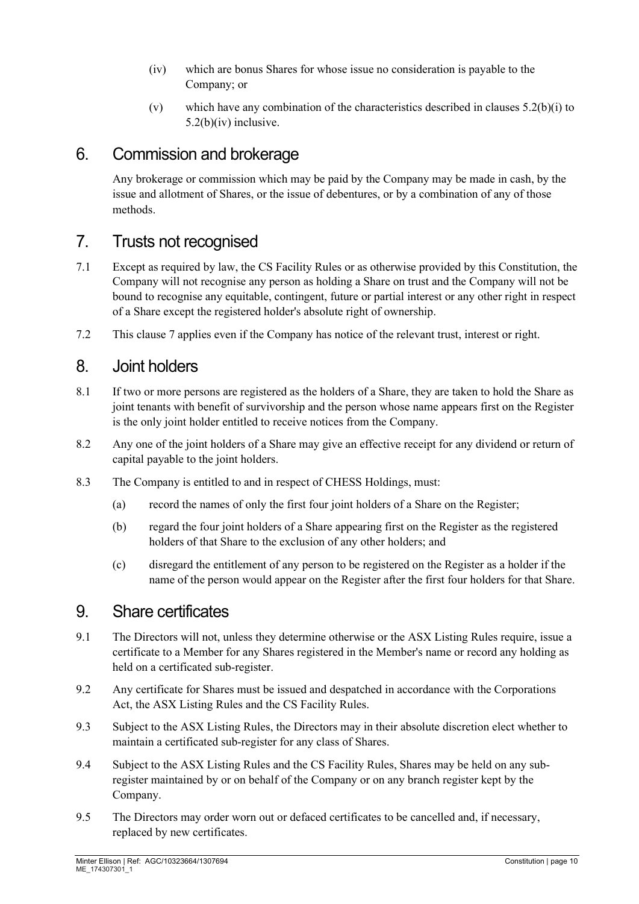- <span id="page-9-0"></span>(iv) which are bonus Shares for whose issue no consideration is payable to the Company; or
- (v) which have any combination of the characteristics described in clauses [5.2\(b\)\(i\)](#page-8-1) to [5.2\(b\)\(iv\)](#page-9-0) inclusive.

### 6. Commission and brokerage

Any brokerage or commission which may be paid by the Company may be made in cash, by the issue and allotment of Shares, or the issue of debentures, or by a combination of any of those methods.

# <span id="page-9-1"></span>7. Trusts not recognised

- 7.1 Except as required by law, the CS Facility Rules or as otherwise provided by this Constitution, the Company will not recognise any person as holding a Share on trust and the Company will not be bound to recognise any equitable, contingent, future or partial interest or any other right in respect of a Share except the registered holder's absolute right of ownership.
- 7.2 This clause [7](#page-9-1) applies even if the Company has notice of the relevant trust, interest or right.

#### 8. Joint holders

- 8.1 If two or more persons are registered as the holders of a Share, they are taken to hold the Share as joint tenants with benefit of survivorship and the person whose name appears first on the Register is the only joint holder entitled to receive notices from the Company.
- 8.2 Any one of the joint holders of a Share may give an effective receipt for any dividend or return of capital payable to the joint holders.
- 8.3 The Company is entitled to and in respect of CHESS Holdings, must:
	- (a) record the names of only the first four joint holders of a Share on the Register;
	- (b) regard the four joint holders of a Share appearing first on the Register as the registered holders of that Share to the exclusion of any other holders; and
	- (c) disregard the entitlement of any person to be registered on the Register as a holder if the name of the person would appear on the Register after the first four holders for that Share.

#### 9. Share certificates

- 9.1 The Directors will not, unless they determine otherwise or the ASX Listing Rules require, issue a certificate to a Member for any Shares registered in the Member's name or record any holding as held on a certificated sub-register.
- 9.2 Any certificate for Shares must be issued and despatched in accordance with the Corporations Act, the ASX Listing Rules and the CS Facility Rules.
- 9.3 Subject to the ASX Listing Rules, the Directors may in their absolute discretion elect whether to maintain a certificated sub-register for any class of Shares.
- 9.4 Subject to the ASX Listing Rules and the CS Facility Rules, Shares may be held on any subregister maintained by or on behalf of the Company or on any branch register kept by the Company.
- 9.5 The Directors may order worn out or defaced certificates to be cancelled and, if necessary, replaced by new certificates.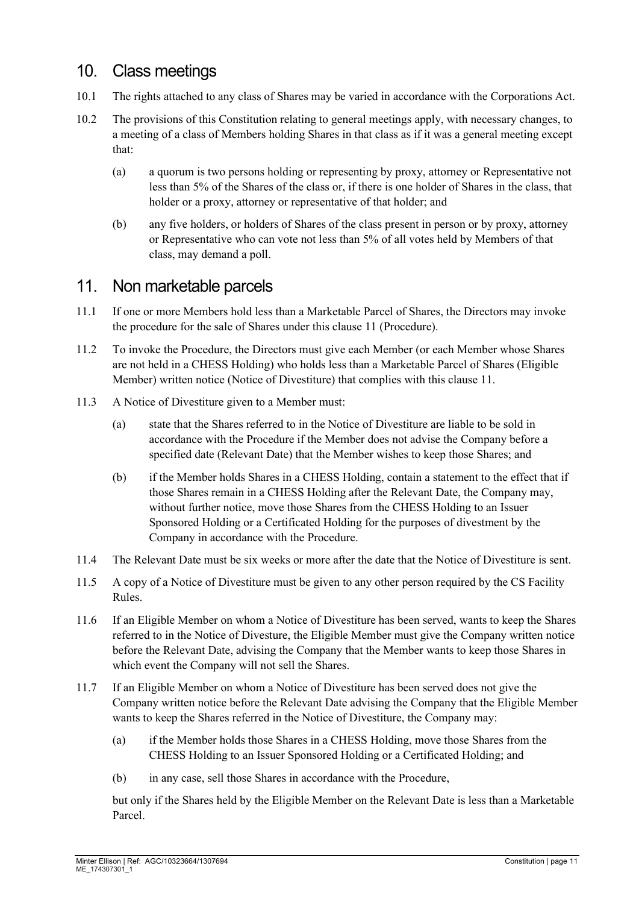### 10. Class meetings

- 10.1 The rights attached to any class of Shares may be varied in accordance with the Corporations Act.
- 10.2 The provisions of this Constitution relating to general meetings apply, with necessary changes, to a meeting of a class of Members holding Shares in that class as if it was a general meeting except that:
	- (a) a quorum is two persons holding or representing by proxy, attorney or Representative not less than 5% of the Shares of the class or, if there is one holder of Shares in the class, that holder or a proxy, attorney or representative of that holder; and
	- (b) any five holders, or holders of Shares of the class present in person or by proxy, attorney or Representative who can vote not less than 5% of all votes held by Members of that class, may demand a poll.

#### <span id="page-10-0"></span>11. Non marketable parcels

- 11.1 If one or more Members hold less than a Marketable Parcel of Shares, the Directors may invoke the procedure for the sale of Shares under this clause [11](#page-10-0) (Procedure).
- 11.2 To invoke the Procedure, the Directors must give each Member (or each Member whose Shares are not held in a CHESS Holding) who holds less than a Marketable Parcel of Shares (Eligible Member) written notice (Notice of Divestiture) that complies with this clause [11.](#page-10-0)
- 11.3 A Notice of Divestiture given to a Member must:
	- (a) state that the Shares referred to in the Notice of Divestiture are liable to be sold in accordance with the Procedure if the Member does not advise the Company before a specified date (Relevant Date) that the Member wishes to keep those Shares; and
	- (b) if the Member holds Shares in a CHESS Holding, contain a statement to the effect that if those Shares remain in a CHESS Holding after the Relevant Date, the Company may, without further notice, move those Shares from the CHESS Holding to an Issuer Sponsored Holding or a Certificated Holding for the purposes of divestment by the Company in accordance with the Procedure.
- 11.4 The Relevant Date must be six weeks or more after the date that the Notice of Divestiture is sent.
- 11.5 A copy of a Notice of Divestiture must be given to any other person required by the CS Facility Rules.
- 11.6 If an Eligible Member on whom a Notice of Divestiture has been served, wants to keep the Shares referred to in the Notice of Divesture, the Eligible Member must give the Company written notice before the Relevant Date, advising the Company that the Member wants to keep those Shares in which event the Company will not sell the Shares.
- 11.7 If an Eligible Member on whom a Notice of Divestiture has been served does not give the Company written notice before the Relevant Date advising the Company that the Eligible Member wants to keep the Shares referred in the Notice of Divestiture, the Company may:
	- (a) if the Member holds those Shares in a CHESS Holding, move those Shares from the CHESS Holding to an Issuer Sponsored Holding or a Certificated Holding; and
	- (b) in any case, sell those Shares in accordance with the Procedure,

but only if the Shares held by the Eligible Member on the Relevant Date is less than a Marketable Parcel.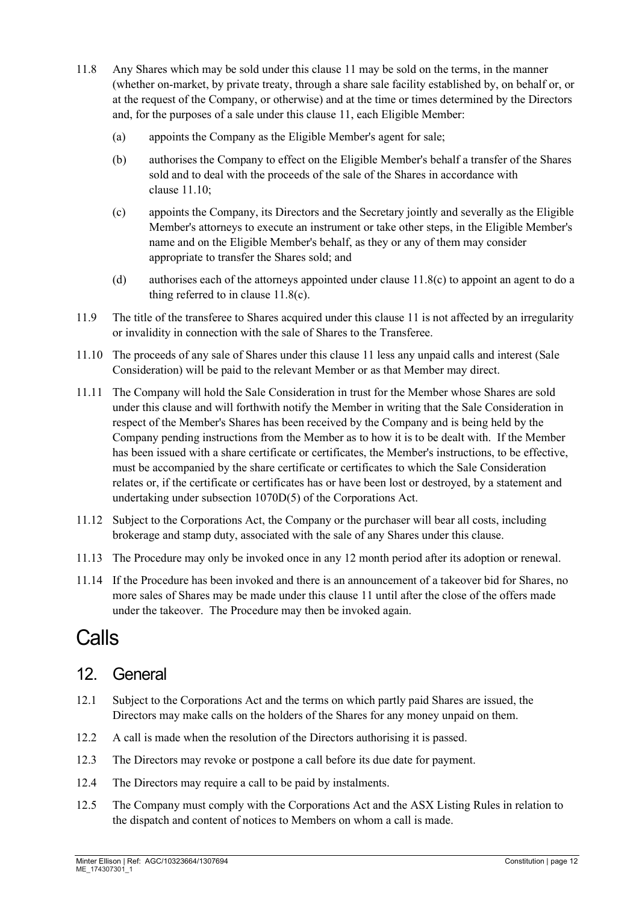- 11.8 Any Shares which may be sold under this clause [11](#page-10-0) may be sold on the terms, in the manner (whether on-market, by private treaty, through a share sale facility established by, on behalf or, or at the request of the Company, or otherwise) and at the time or times determined by the Directors and, for the purposes of a sale under this clause [11,](#page-10-0) each Eligible Member:
	- (a) appoints the Company as the Eligible Member's agent for sale;
	- (b) authorises the Company to effect on the Eligible Member's behalf a transfer of the Shares sold and to deal with the proceeds of the sale of the Shares in accordance with clause [11.10;](#page-11-0)
	- (c) appoints the Company, its Directors and the Secretary jointly and severally as the Eligible Member's attorneys to execute an instrument or take other steps, in the Eligible Member's name and on the Eligible Member's behalf, as they or any of them may consider appropriate to transfer the Shares sold; and
	- (d) authorises each of the attorneys appointed under clause  $11.8(c)$  to appoint an agent to do a thing referred to in clause [11.8\(c\).](#page-11-1)
- <span id="page-11-1"></span>11.9 The title of the transferee to Shares acquired under this clause [11](#page-10-0) is not affected by an irregularity or invalidity in connection with the sale of Shares to the Transferee.
- <span id="page-11-0"></span>11.10 The proceeds of any sale of Shares under this clause [11](#page-10-0) less any unpaid calls and interest (Sale Consideration) will be paid to the relevant Member or as that Member may direct.
- 11.11 The Company will hold the Sale Consideration in trust for the Member whose Shares are sold under this clause and will forthwith notify the Member in writing that the Sale Consideration in respect of the Member's Shares has been received by the Company and is being held by the Company pending instructions from the Member as to how it is to be dealt with. If the Member has been issued with a share certificate or certificates, the Member's instructions, to be effective, must be accompanied by the share certificate or certificates to which the Sale Consideration relates or, if the certificate or certificates has or have been lost or destroyed, by a statement and undertaking under subsection 1070D(5) of the Corporations Act.
- 11.12 Subject to the Corporations Act, the Company or the purchaser will bear all costs, including brokerage and stamp duty, associated with the sale of any Shares under this clause.
- 11.13 The Procedure may only be invoked once in any 12 month period after its adoption or renewal.
- 11.14 If the Procedure has been invoked and there is an announcement of a takeover bid for Shares, no more sales of Shares may be made under this clause [11](#page-10-0) until after the close of the offers made under the takeover. The Procedure may then be invoked again.

# Calls

# <span id="page-11-2"></span>12. General

- 12.1 Subject to the Corporations Act and the terms on which partly paid Shares are issued, the Directors may make calls on the holders of the Shares for any money unpaid on them.
- 12.2 A call is made when the resolution of the Directors authorising it is passed.
- 12.3 The Directors may revoke or postpone a call before its due date for payment.
- 12.4 The Directors may require a call to be paid by instalments.
- 12.5 The Company must comply with the Corporations Act and the ASX Listing Rules in relation to the dispatch and content of notices to Members on whom a call is made.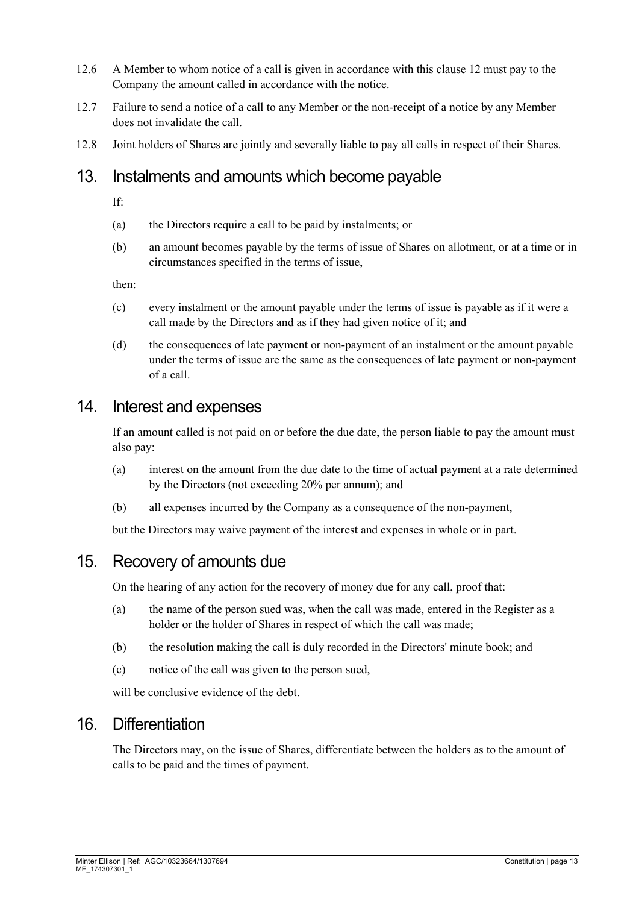- 12.6 A Member to whom notice of a call is given in accordance with this clause [12](#page-11-2) must pay to the Company the amount called in accordance with the notice.
- 12.7 Failure to send a notice of a call to any Member or the non-receipt of a notice by any Member does not invalidate the call.
- 12.8 Joint holders of Shares are jointly and severally liable to pay all calls in respect of their Shares.

#### 13. Instalments and amounts which become payable

If:

- (a) the Directors require a call to be paid by instalments; or
- (b) an amount becomes payable by the terms of issue of Shares on allotment, or at a time or in circumstances specified in the terms of issue,

then:

- (c) every instalment or the amount payable under the terms of issue is payable as if it were a call made by the Directors and as if they had given notice of it; and
- (d) the consequences of late payment or non-payment of an instalment or the amount payable under the terms of issue are the same as the consequences of late payment or non-payment of a call.

#### 14. Interest and expenses

If an amount called is not paid on or before the due date, the person liable to pay the amount must also pay:

- (a) interest on the amount from the due date to the time of actual payment at a rate determined by the Directors (not exceeding 20% per annum); and
- (b) all expenses incurred by the Company as a consequence of the non-payment,

but the Directors may waive payment of the interest and expenses in whole or in part.

#### 15. Recovery of amounts due

On the hearing of any action for the recovery of money due for any call, proof that:

- (a) the name of the person sued was, when the call was made, entered in the Register as a holder or the holder of Shares in respect of which the call was made;
- (b) the resolution making the call is duly recorded in the Directors' minute book; and
- (c) notice of the call was given to the person sued,

will be conclusive evidence of the debt.

#### 16. Differentiation

The Directors may, on the issue of Shares, differentiate between the holders as to the amount of calls to be paid and the times of payment.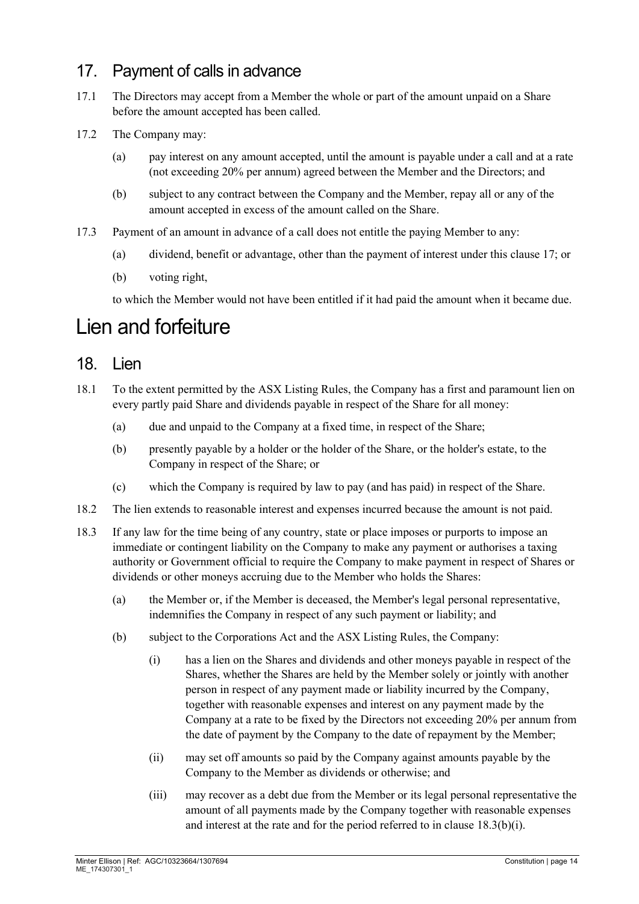# <span id="page-13-0"></span>17. Payment of calls in advance

- 17.1 The Directors may accept from a Member the whole or part of the amount unpaid on a Share before the amount accepted has been called.
- 17.2 The Company may:
	- (a) pay interest on any amount accepted, until the amount is payable under a call and at a rate (not exceeding 20% per annum) agreed between the Member and the Directors; and
	- (b) subject to any contract between the Company and the Member, repay all or any of the amount accepted in excess of the amount called on the Share.
- <span id="page-13-2"></span>17.3 Payment of an amount in advance of a call does not entitle the paying Member to any:
	- (a) dividend, benefit or advantage, other than the payment of interest under this clause [17;](#page-13-0) or
	- (b) voting right,

to which the Member would not have been entitled if it had paid the amount when it became due.

# Lien and forfeiture

#### 18. Lien

- 18.1 To the extent permitted by the ASX Listing Rules, the Company has a first and paramount lien on every partly paid Share and dividends payable in respect of the Share for all money:
	- (a) due and unpaid to the Company at a fixed time, in respect of the Share;
	- (b) presently payable by a holder or the holder of the Share, or the holder's estate, to the Company in respect of the Share; or
	- (c) which the Company is required by law to pay (and has paid) in respect of the Share.
- 18.2 The lien extends to reasonable interest and expenses incurred because the amount is not paid.
- <span id="page-13-1"></span>18.3 If any law for the time being of any country, state or place imposes or purports to impose an immediate or contingent liability on the Company to make any payment or authorises a taxing authority or Government official to require the Company to make payment in respect of Shares or dividends or other moneys accruing due to the Member who holds the Shares:
	- (a) the Member or, if the Member is deceased, the Member's legal personal representative, indemnifies the Company in respect of any such payment or liability; and
	- (b) subject to the Corporations Act and the ASX Listing Rules, the Company:
		- (i) has a lien on the Shares and dividends and other moneys payable in respect of the Shares, whether the Shares are held by the Member solely or jointly with another person in respect of any payment made or liability incurred by the Company, together with reasonable expenses and interest on any payment made by the Company at a rate to be fixed by the Directors not exceeding 20% per annum from the date of payment by the Company to the date of repayment by the Member;
		- (ii) may set off amounts so paid by the Company against amounts payable by the Company to the Member as dividends or otherwise; and
		- (iii) may recover as a debt due from the Member or its legal personal representative the amount of all payments made by the Company together with reasonable expenses and interest at the rate and for the period referred to in clause [18.3\(b\)\(i\).](#page-13-1)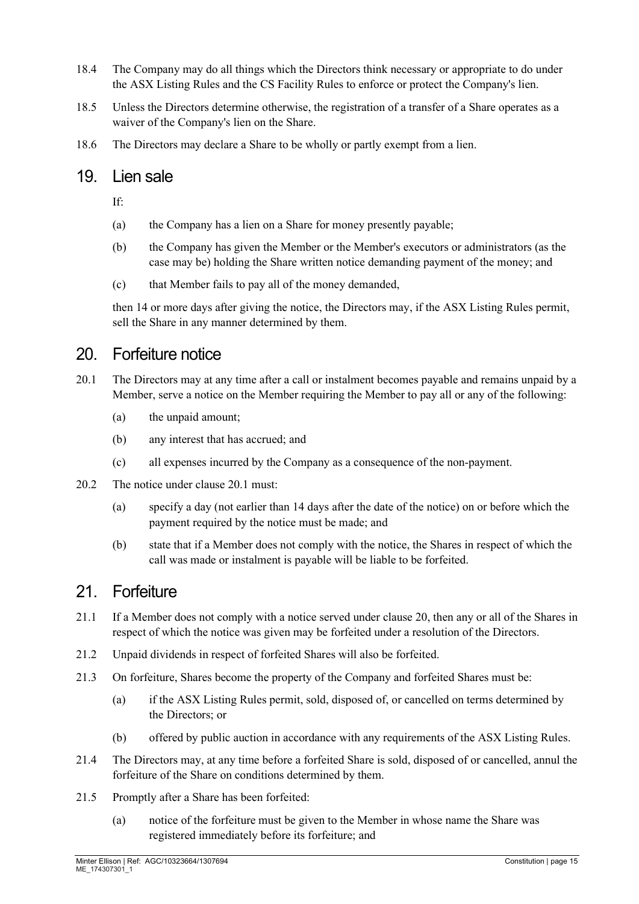- 18.4 The Company may do all things which the Directors think necessary or appropriate to do under the ASX Listing Rules and the CS Facility Rules to enforce or protect the Company's lien.
- 18.5 Unless the Directors determine otherwise, the registration of a transfer of a Share operates as a waiver of the Company's lien on the Share.
- 18.6 The Directors may declare a Share to be wholly or partly exempt from a lien.

#### 19. Lien sale

If:

- (a) the Company has a lien on a Share for money presently payable;
- (b) the Company has given the Member or the Member's executors or administrators (as the case may be) holding the Share written notice demanding payment of the money; and
- (c) that Member fails to pay all of the money demanded,

then 14 or more days after giving the notice, the Directors may, if the ASX Listing Rules permit, sell the Share in any manner determined by them.

#### <span id="page-14-1"></span>20. Forfeiture notice

- <span id="page-14-0"></span>20.1 The Directors may at any time after a call or instalment becomes payable and remains unpaid by a Member, serve a notice on the Member requiring the Member to pay all or any of the following:
	- (a) the unpaid amount;
	- (b) any interest that has accrued; and
	- (c) all expenses incurred by the Company as a consequence of the non-payment.
- 20.2 The notice under clause [20.1](#page-14-0) must:
	- (a) specify a day (not earlier than 14 days after the date of the notice) on or before which the payment required by the notice must be made; and
	- (b) state that if a Member does not comply with the notice, the Shares in respect of which the call was made or instalment is payable will be liable to be forfeited.

#### 21 Forfeiture

- <span id="page-14-3"></span>21.1 If a Member does not comply with a notice served under clause [20,](#page-14-1) then any or all of the Shares in respect of which the notice was given may be forfeited under a resolution of the Directors.
- 21.2 Unpaid dividends in respect of forfeited Shares will also be forfeited.
- 21.3 On forfeiture, Shares become the property of the Company and forfeited Shares must be:
	- (a) if the ASX Listing Rules permit, sold, disposed of, or cancelled on terms determined by the Directors; or
	- (b) offered by public auction in accordance with any requirements of the ASX Listing Rules.
- 21.4 The Directors may, at any time before a forfeited Share is sold, disposed of or cancelled, annul the forfeiture of the Share on conditions determined by them.
- <span id="page-14-2"></span>21.5 Promptly after a Share has been forfeited:
	- (a) notice of the forfeiture must be given to the Member in whose name the Share was registered immediately before its forfeiture; and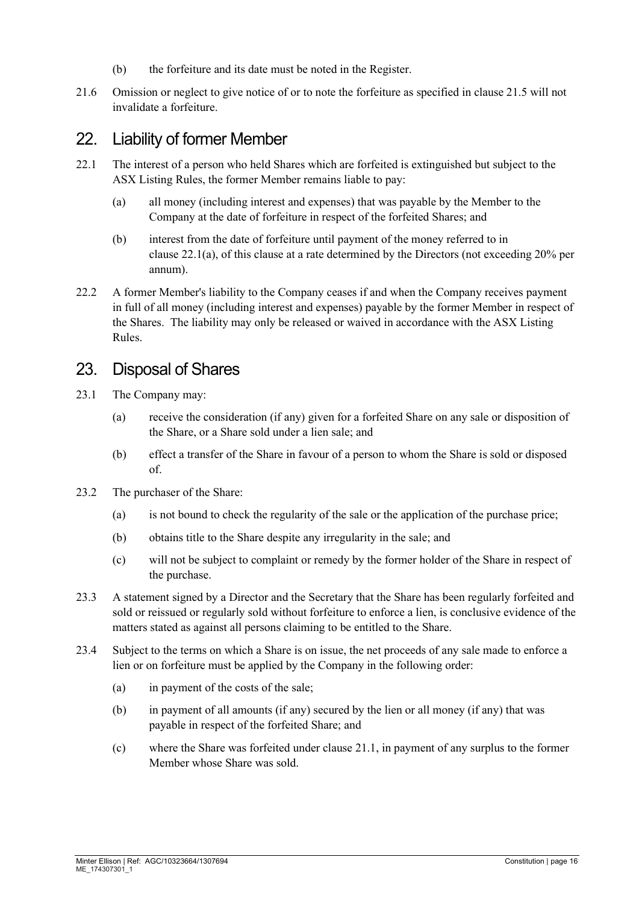- (b) the forfeiture and its date must be noted in the Register.
- 21.6 Omission or neglect to give notice of or to note the forfeiture as specified in clause [21.5](#page-14-2) will not invalidate a forfeiture.

### 22. Liability of former Member

- <span id="page-15-0"></span>22.1 The interest of a person who held Shares which are forfeited is extinguished but subject to the ASX Listing Rules, the former Member remains liable to pay:
	- (a) all money (including interest and expenses) that was payable by the Member to the Company at the date of forfeiture in respect of the forfeited Shares; and
	- (b) interest from the date of forfeiture until payment of the money referred to in clause [22.1\(a\),](#page-15-0) of this clause at a rate determined by the Directors (not exceeding 20% per annum).
- 22.2 A former Member's liability to the Company ceases if and when the Company receives payment in full of all money (including interest and expenses) payable by the former Member in respect of the Shares. The liability may only be released or waived in accordance with the ASX Listing Rules.

#### 23. Disposal of Shares

- 23.1 The Company may:
	- (a) receive the consideration (if any) given for a forfeited Share on any sale or disposition of the Share, or a Share sold under a lien sale; and
	- (b) effect a transfer of the Share in favour of a person to whom the Share is sold or disposed of.
- 23.2 The purchaser of the Share:
	- (a) is not bound to check the regularity of the sale or the application of the purchase price;
	- (b) obtains title to the Share despite any irregularity in the sale; and
	- (c) will not be subject to complaint or remedy by the former holder of the Share in respect of the purchase.
- 23.3 A statement signed by a Director and the Secretary that the Share has been regularly forfeited and sold or reissued or regularly sold without forfeiture to enforce a lien, is conclusive evidence of the matters stated as against all persons claiming to be entitled to the Share.
- 23.4 Subject to the terms on which a Share is on issue, the net proceeds of any sale made to enforce a lien or on forfeiture must be applied by the Company in the following order:
	- (a) in payment of the costs of the sale;
	- (b) in payment of all amounts (if any) secured by the lien or all money (if any) that was payable in respect of the forfeited Share; and
	- (c) where the Share was forfeited under clause [21.1,](#page-14-3) in payment of any surplus to the former Member whose Share was sold.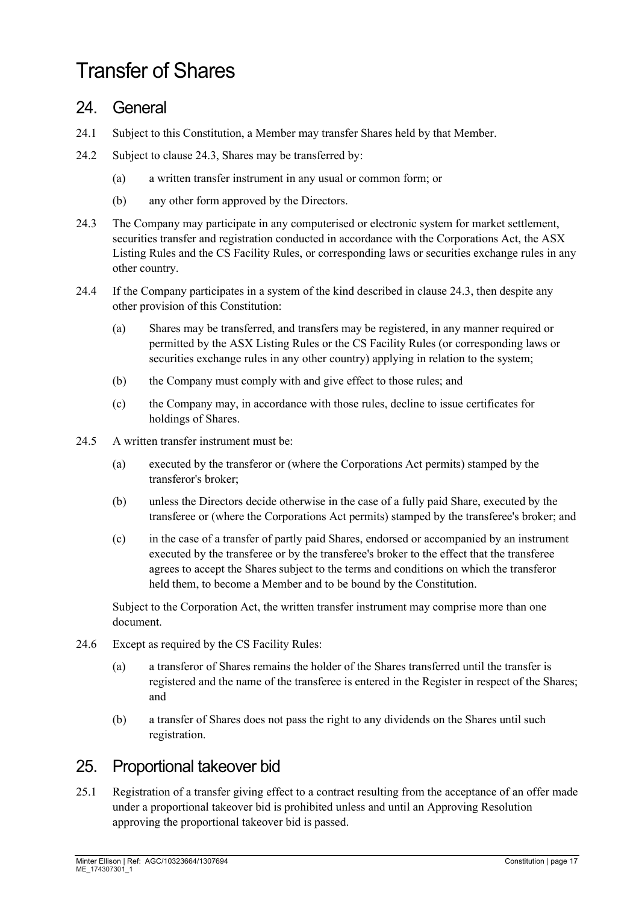# Transfer of Shares

#### 24. General

- 24.1 Subject to this Constitution, a Member may transfer Shares held by that Member.
- 24.2 Subject to clause [24.3,](#page-16-1) Shares may be transferred by:
	- (a) a written transfer instrument in any usual or common form; or
	- (b) any other form approved by the Directors.
- <span id="page-16-1"></span>24.3 The Company may participate in any computerised or electronic system for market settlement, securities transfer and registration conducted in accordance with the Corporations Act, the ASX Listing Rules and the CS Facility Rules, or corresponding laws or securities exchange rules in any other country.
- 24.4 If the Company participates in a system of the kind described in clause [24.3,](#page-16-1) then despite any other provision of this Constitution:
	- (a) Shares may be transferred, and transfers may be registered, in any manner required or permitted by the ASX Listing Rules or the CS Facility Rules (or corresponding laws or securities exchange rules in any other country) applying in relation to the system;
	- (b) the Company must comply with and give effect to those rules; and
	- (c) the Company may, in accordance with those rules, decline to issue certificates for holdings of Shares.
- 24.5 A written transfer instrument must be:
	- (a) executed by the transferor or (where the Corporations Act permits) stamped by the transferor's broker;
	- (b) unless the Directors decide otherwise in the case of a fully paid Share, executed by the transferee or (where the Corporations Act permits) stamped by the transferee's broker; and
	- (c) in the case of a transfer of partly paid Shares, endorsed or accompanied by an instrument executed by the transferee or by the transferee's broker to the effect that the transferee agrees to accept the Shares subject to the terms and conditions on which the transferor held them, to become a Member and to be bound by the Constitution.

Subject to the Corporation Act, the written transfer instrument may comprise more than one document.

- 24.6 Except as required by the CS Facility Rules:
	- (a) a transferor of Shares remains the holder of the Shares transferred until the transfer is registered and the name of the transferee is entered in the Register in respect of the Shares; and
	- (b) a transfer of Shares does not pass the right to any dividends on the Shares until such registration.

# <span id="page-16-0"></span>25. Proportional takeover bid

25.1 Registration of a transfer giving effect to a contract resulting from the acceptance of an offer made under a proportional takeover bid is prohibited unless and until an Approving Resolution approving the proportional takeover bid is passed.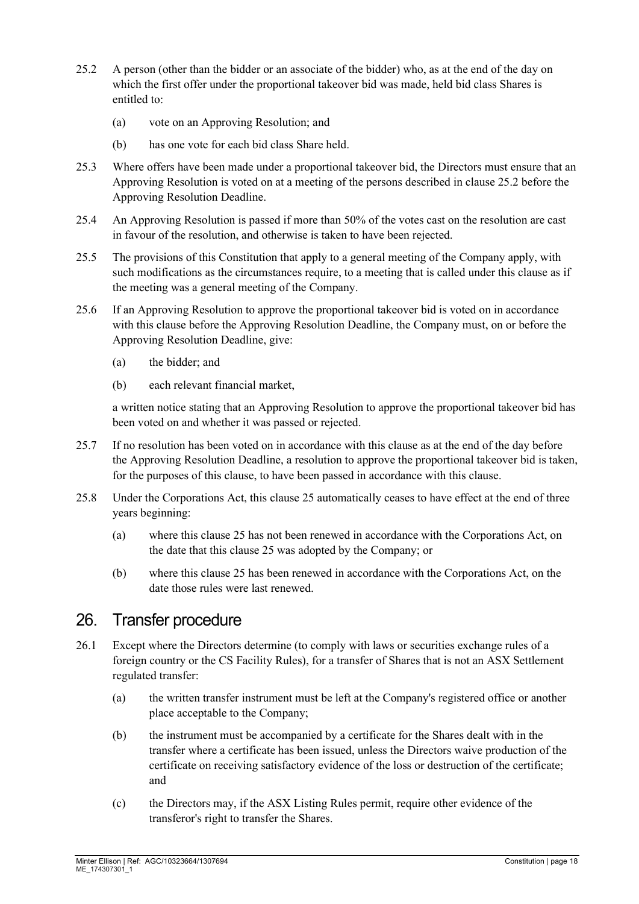- <span id="page-17-0"></span>25.2 A person (other than the bidder or an associate of the bidder) who, as at the end of the day on which the first offer under the proportional takeover bid was made, held bid class Shares is entitled to:
	- (a) vote on an Approving Resolution; and
	- (b) has one vote for each bid class Share held.
- 25.3 Where offers have been made under a proportional takeover bid, the Directors must ensure that an Approving Resolution is voted on at a meeting of the persons described in clause [25.2](#page-17-0) before the Approving Resolution Deadline.
- 25.4 An Approving Resolution is passed if more than 50% of the votes cast on the resolution are cast in favour of the resolution, and otherwise is taken to have been rejected.
- 25.5 The provisions of this Constitution that apply to a general meeting of the Company apply, with such modifications as the circumstances require, to a meeting that is called under this clause as if the meeting was a general meeting of the Company.
- 25.6 If an Approving Resolution to approve the proportional takeover bid is voted on in accordance with this clause before the Approving Resolution Deadline, the Company must, on or before the Approving Resolution Deadline, give:
	- (a) the bidder; and
	- (b) each relevant financial market,

a written notice stating that an Approving Resolution to approve the proportional takeover bid has been voted on and whether it was passed or rejected.

- 25.7 If no resolution has been voted on in accordance with this clause as at the end of the day before the Approving Resolution Deadline, a resolution to approve the proportional takeover bid is taken, for the purposes of this clause, to have been passed in accordance with this clause.
- 25.8 Under the Corporations Act, this clause [25](#page-16-0) automatically ceases to have effect at the end of three years beginning:
	- (a) where this clause 25 has not been renewed in accordance with the Corporations Act, on the date that this clause 25 was adopted by the Company; or
	- (b) where this clause 25 has been renewed in accordance with the Corporations Act, on the date those rules were last renewed.

#### 26. Transfer procedure

- 26.1 Except where the Directors determine (to comply with laws or securities exchange rules of a foreign country or the CS Facility Rules), for a transfer of Shares that is not an ASX Settlement regulated transfer:
	- (a) the written transfer instrument must be left at the Company's registered office or another place acceptable to the Company;
	- (b) the instrument must be accompanied by a certificate for the Shares dealt with in the transfer where a certificate has been issued, unless the Directors waive production of the certificate on receiving satisfactory evidence of the loss or destruction of the certificate; and
	- (c) the Directors may, if the ASX Listing Rules permit, require other evidence of the transferor's right to transfer the Shares.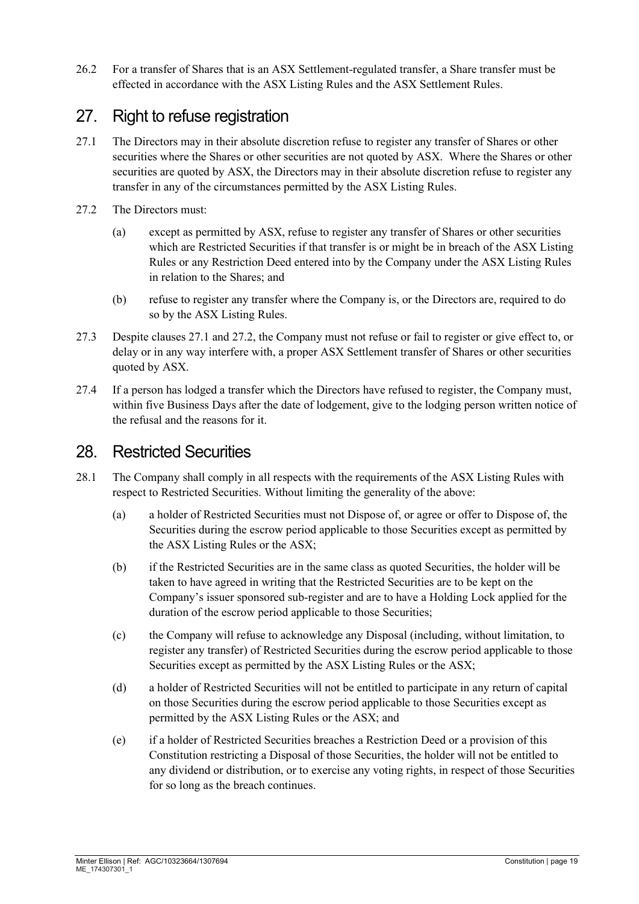26.2 For a transfer of Shares that is an ASX Settlement-regulated transfer, a Share transfer must be effected in accordance with the ASX Listing Rules and the ASX Settlement Rules.

# <span id="page-18-2"></span>27. Right to refuse registration

- <span id="page-18-0"></span>27.1 The Directors may in their absolute discretion refuse to register any transfer of Shares or other securities where the Shares or other securities are not quoted by ASX. Where the Shares or other securities are quoted by ASX, the Directors may in their absolute discretion refuse to register any transfer in any of the circumstances permitted by the ASX Listing Rules.
- <span id="page-18-1"></span>27.2 The Directors must:
	- (a) except as permitted by ASX, refuse to register any transfer of Shares or other securities which are Restricted Securities if that transfer is or might be in breach of the ASX Listing Rules or any Restriction Deed entered into by the Company under the ASX Listing Rules in relation to the Shares; and
	- (b) refuse to register any transfer where the Company is, or the Directors are, required to do so by the ASX Listing Rules.
- 27.3 Despite clauses [27.1](#page-18-0) and [27.2,](#page-18-1) the Company must not refuse or fail to register or give effect to, or delay or in any way interfere with, a proper ASX Settlement transfer of Shares or other securities quoted by ASX.
- 27.4 If a person has lodged a transfer which the Directors have refused to register, the Company must, within five Business Days after the date of lodgement, give to the lodging person written notice of the refusal and the reasons for it.

#### 28. Restricted Securities

- 28.1 The Company shall comply in all respects with the requirements of the ASX Listing Rules with respect to Restricted Securities. Without limiting the generality of the above:
	- (a) a holder of Restricted Securities must not Dispose of, or agree or offer to Dispose of, the Securities during the escrow period applicable to those Securities except as permitted by the ASX Listing Rules or the ASX;
	- (b) if the Restricted Securities are in the same class as quoted Securities, the holder will be taken to have agreed in writing that the Restricted Securities are to be kept on the Company's issuer sponsored sub-register and are to have a Holding Lock applied for the duration of the escrow period applicable to those Securities;
	- (c) the Company will refuse to acknowledge any Disposal (including, without limitation, to register any transfer) of Restricted Securities during the escrow period applicable to those Securities except as permitted by the ASX Listing Rules or the ASX;
	- (d) a holder of Restricted Securities will not be entitled to participate in any return of capital on those Securities during the escrow period applicable to those Securities except as permitted by the ASX Listing Rules or the ASX; and
	- (e) if a holder of Restricted Securities breaches a Restriction Deed or a provision of this Constitution restricting a Disposal of those Securities, the holder will not be entitled to any dividend or distribution, or to exercise any voting rights, in respect of those Securities for so long as the breach continues.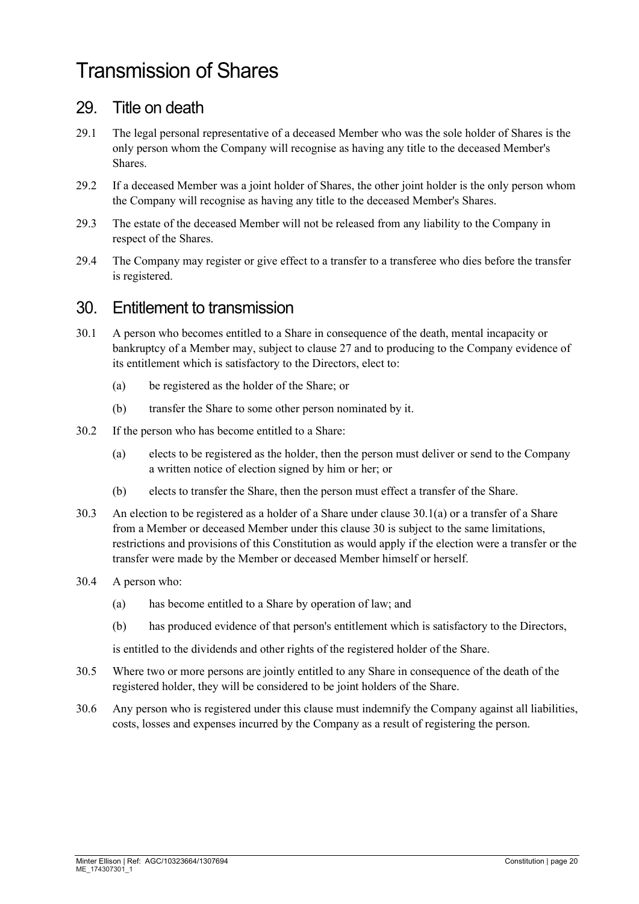# Transmission of Shares

#### 29. Title on death

- 29.1 The legal personal representative of a deceased Member who was the sole holder of Shares is the only person whom the Company will recognise as having any title to the deceased Member's Shares.
- 29.2 If a deceased Member was a joint holder of Shares, the other joint holder is the only person whom the Company will recognise as having any title to the deceased Member's Shares.
- 29.3 The estate of the deceased Member will not be released from any liability to the Company in respect of the Shares.
- 29.4 The Company may register or give effect to a transfer to a transferee who dies before the transfer is registered.

### <span id="page-19-1"></span>30. Entitlement to transmission

- 30.1 A person who becomes entitled to a Share in consequence of the death, mental incapacity or bankruptcy of a Member may, subject to clause [27](#page-18-2) and to producing to the Company evidence of its entitlement which is satisfactory to the Directors, elect to:
	- (a) be registered as the holder of the Share; or
	- (b) transfer the Share to some other person nominated by it.
- <span id="page-19-0"></span>30.2 If the person who has become entitled to a Share:
	- (a) elects to be registered as the holder, then the person must deliver or send to the Company a written notice of election signed by him or her; or
	- (b) elects to transfer the Share, then the person must effect a transfer of the Share.
- 30.3 An election to be registered as a holder of a Share under clause [30.1\(a\)](#page-19-0) or a transfer of a Share from a Member or deceased Member under this clause [30](#page-19-1) is subject to the same limitations, restrictions and provisions of this Constitution as would apply if the election were a transfer or the transfer were made by the Member or deceased Member himself or herself.
- 30.4 A person who:
	- (a) has become entitled to a Share by operation of law; and
	- (b) has produced evidence of that person's entitlement which is satisfactory to the Directors,

is entitled to the dividends and other rights of the registered holder of the Share.

- 30.5 Where two or more persons are jointly entitled to any Share in consequence of the death of the registered holder, they will be considered to be joint holders of the Share.
- 30.6 Any person who is registered under this clause must indemnify the Company against all liabilities, costs, losses and expenses incurred by the Company as a result of registering the person.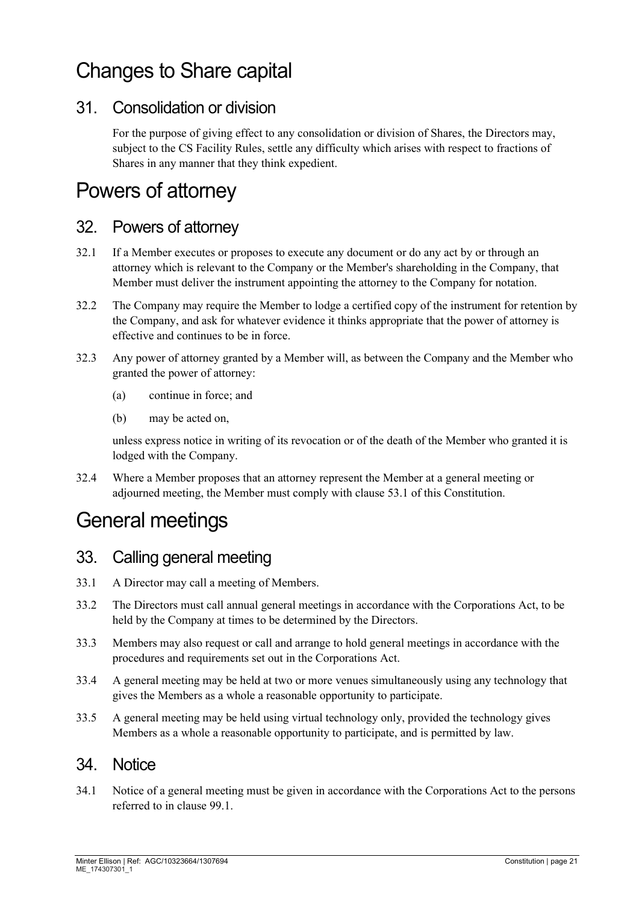# Changes to Share capital

### 31. Consolidation or division

For the purpose of giving effect to any consolidation or division of Shares, the Directors may, subject to the CS Facility Rules, settle any difficulty which arises with respect to fractions of Shares in any manner that they think expedient.

# Powers of attorney

#### 32. Powers of attorney

- 32.1 If a Member executes or proposes to execute any document or do any act by or through an attorney which is relevant to the Company or the Member's shareholding in the Company, that Member must deliver the instrument appointing the attorney to the Company for notation.
- 32.2 The Company may require the Member to lodge a certified copy of the instrument for retention by the Company, and ask for whatever evidence it thinks appropriate that the power of attorney is effective and continues to be in force.
- 32.3 Any power of attorney granted by a Member will, as between the Company and the Member who granted the power of attorney:
	- (a) continue in force; and
	- (b) may be acted on,

unless express notice in writing of its revocation or of the death of the Member who granted it is lodged with the Company.

32.4 Where a Member proposes that an attorney represent the Member at a general meeting or adjourned meeting, the Member must comply with clause [53.1](#page-27-0) of this Constitution.

# General meetings

#### 33. Calling general meeting

- 33.1 A Director may call a meeting of Members.
- 33.2 The Directors must call annual general meetings in accordance with the Corporations Act, to be held by the Company at times to be determined by the Directors.
- <span id="page-20-0"></span>33.3 Members may also request or call and arrange to hold general meetings in accordance with the procedures and requirements set out in the Corporations Act.
- 33.4 A general meeting may be held at two or more venues simultaneously using any technology that gives the Members as a whole a reasonable opportunity to participate.
- 33.5 A general meeting may be held using virtual technology only, provided the technology gives Members as a whole a reasonable opportunity to participate, and is permitted by law.

#### 34. Notice

34.1 Notice of a general meeting must be given in accordance with the Corporations Act to the persons referred to in clause [99.1.](#page-44-0)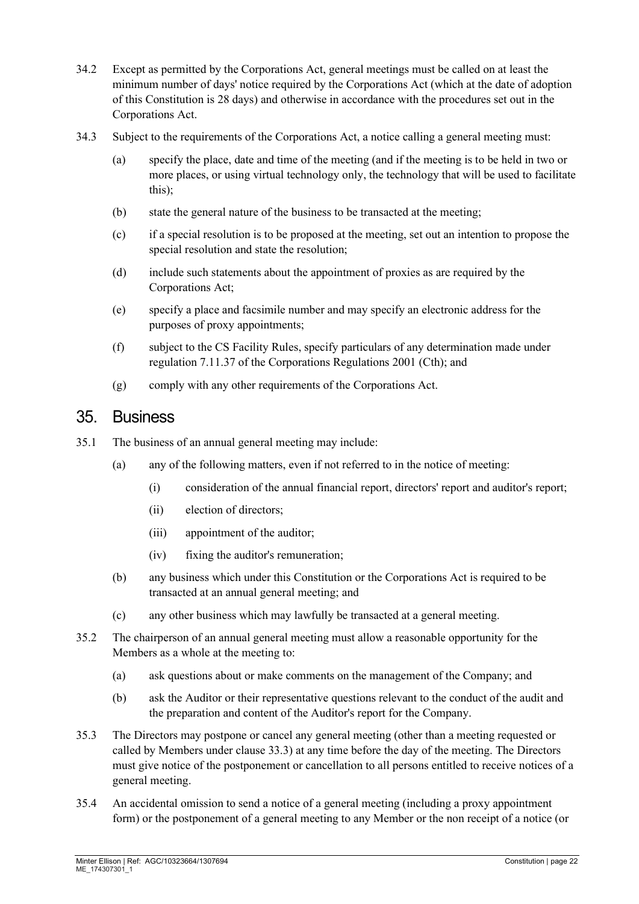- 34.2 Except as permitted by the Corporations Act, general meetings must be called on at least the minimum number of days' notice required by the Corporations Act (which at the date of adoption of this Constitution is 28 days) and otherwise in accordance with the procedures set out in the Corporations Act.
- 34.3 Subject to the requirements of the Corporations Act, a notice calling a general meeting must:
	- (a) specify the place, date and time of the meeting (and if the meeting is to be held in two or more places, or using virtual technology only, the technology that will be used to facilitate this);
	- (b) state the general nature of the business to be transacted at the meeting;
	- (c) if a special resolution is to be proposed at the meeting, set out an intention to propose the special resolution and state the resolution;
	- (d) include such statements about the appointment of proxies as are required by the Corporations Act;
	- (e) specify a place and facsimile number and may specify an electronic address for the purposes of proxy appointments;
	- (f) subject to the CS Facility Rules, specify particulars of any determination made under regulation 7.11.37 of the Corporations Regulations 2001 (Cth); and
	- (g) comply with any other requirements of the Corporations Act.

#### 35. Business

- 35.1 The business of an annual general meeting may include:
	- (a) any of the following matters, even if not referred to in the notice of meeting:
		- (i) consideration of the annual financial report, directors' report and auditor's report;
		- (ii) election of directors;
		- (iii) appointment of the auditor;
		- (iv) fixing the auditor's remuneration;
	- (b) any business which under this Constitution or the Corporations Act is required to be transacted at an annual general meeting; and
	- (c) any other business which may lawfully be transacted at a general meeting.
- 35.2 The chairperson of an annual general meeting must allow a reasonable opportunity for the Members as a whole at the meeting to:
	- (a) ask questions about or make comments on the management of the Company; and
	- (b) ask the Auditor or their representative questions relevant to the conduct of the audit and the preparation and content of the Auditor's report for the Company.
- 35.3 The Directors may postpone or cancel any general meeting (other than a meeting requested or called by Members under clause [33.3\)](#page-20-0) at any time before the day of the meeting. The Directors must give notice of the postponement or cancellation to all persons entitled to receive notices of a general meeting.
- 35.4 An accidental omission to send a notice of a general meeting (including a proxy appointment form) or the postponement of a general meeting to any Member or the non receipt of a notice (or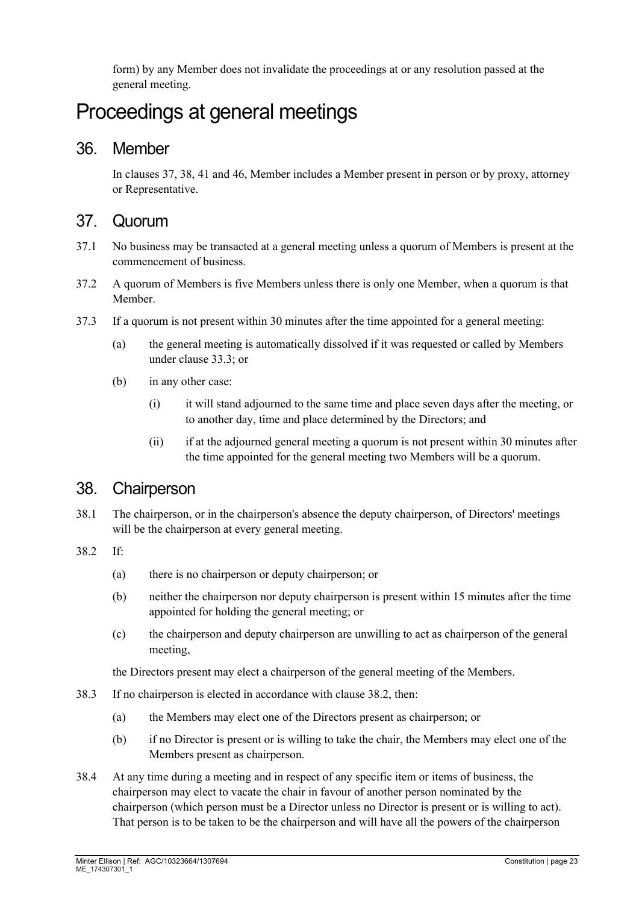form) by any Member does not invalidate the proceedings at or any resolution passed at the general meeting.

# Proceedings at general meetings

#### 36. Member

In clauses [37,](#page-22-0) [38,](#page-22-1) [41](#page-23-0) an[d 46,](#page-25-0) Member includes a Member present in person or by proxy, attorney or Representative.

#### <span id="page-22-0"></span>37. Quorum

- 37.1 No business may be transacted at a general meeting unless a quorum of Members is present at the commencement of business.
- 37.2 A quorum of Members is five Members unless there is only one Member, when a quorum is that Member.
- 37.3 If a quorum is not present within 30 minutes after the time appointed for a general meeting:
	- (a) the general meeting is automatically dissolved if it was requested or called by Members under clause [33.3;](#page-20-0) or
	- (b) in any other case:
		- (i) it will stand adjourned to the same time and place seven days after the meeting, or to another day, time and place determined by the Directors; and
		- (ii) if at the adjourned general meeting a quorum is not present within 30 minutes after the time appointed for the general meeting two Members will be a quorum.

#### <span id="page-22-1"></span>38. Chairperson

38.1 The chairperson, or in the chairperson's absence the deputy chairperson, of Directors' meetings will be the chairperson at every general meeting.

#### <span id="page-22-2"></span>38.2 If:

- (a) there is no chairperson or deputy chairperson; or
- (b) neither the chairperson nor deputy chairperson is present within 15 minutes after the time appointed for holding the general meeting; or
- (c) the chairperson and deputy chairperson are unwilling to act as chairperson of the general meeting,

the Directors present may elect a chairperson of the general meeting of the Members.

- 38.3 If no chairperson is elected in accordance with clause [38.2,](#page-22-2) then:
	- (a) the Members may elect one of the Directors present as chairperson; or
	- (b) if no Director is present or is willing to take the chair, the Members may elect one of the Members present as chairperson.
- 38.4 At any time during a meeting and in respect of any specific item or items of business, the chairperson may elect to vacate the chair in favour of another person nominated by the chairperson (which person must be a Director unless no Director is present or is willing to act). That person is to be taken to be the chairperson and will have all the powers of the chairperson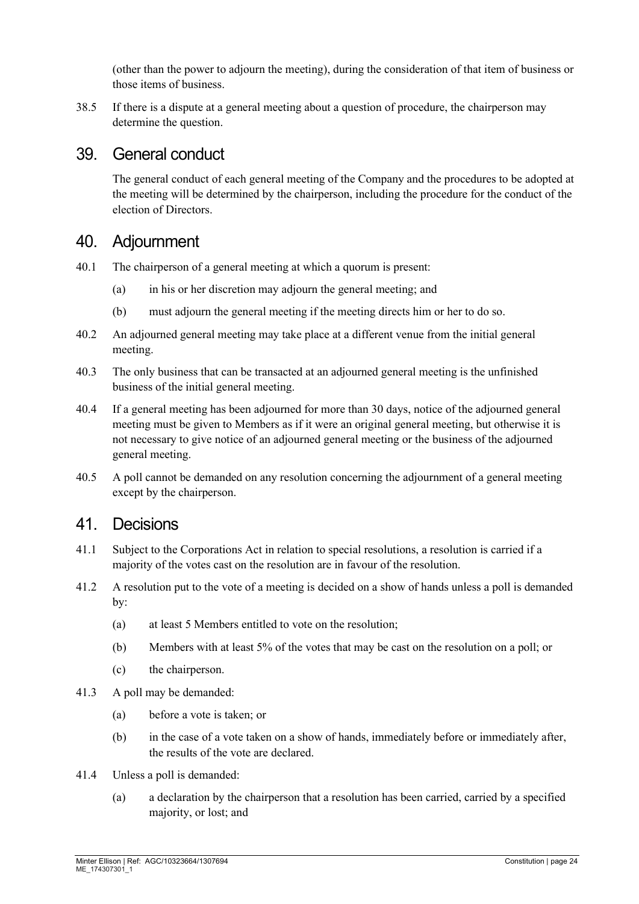(other than the power to adjourn the meeting), during the consideration of that item of business or those items of business.

38.5 If there is a dispute at a general meeting about a question of procedure, the chairperson may determine the question.

#### 39. General conduct

The general conduct of each general meeting of the Company and the procedures to be adopted at the meeting will be determined by the chairperson, including the procedure for the conduct of the election of Directors.

#### 40. Adjournment

- 40.1 The chairperson of a general meeting at which a quorum is present:
	- (a) in his or her discretion may adjourn the general meeting; and
	- (b) must adjourn the general meeting if the meeting directs him or her to do so.
- 40.2 An adjourned general meeting may take place at a different venue from the initial general meeting.
- 40.3 The only business that can be transacted at an adjourned general meeting is the unfinished business of the initial general meeting.
- 40.4 If a general meeting has been adjourned for more than 30 days, notice of the adjourned general meeting must be given to Members as if it were an original general meeting, but otherwise it is not necessary to give notice of an adjourned general meeting or the business of the adjourned general meeting.
- 40.5 A poll cannot be demanded on any resolution concerning the adjournment of a general meeting except by the chairperson.

#### <span id="page-23-0"></span>41. Decisions

- 41.1 Subject to the Corporations Act in relation to special resolutions, a resolution is carried if a majority of the votes cast on the resolution are in favour of the resolution.
- 41.2 A resolution put to the vote of a meeting is decided on a show of hands unless a poll is demanded by:
	- (a) at least 5 Members entitled to vote on the resolution;
	- (b) Members with at least 5% of the votes that may be cast on the resolution on a poll; or
	- (c) the chairperson.
- 41.3 A poll may be demanded:
	- (a) before a vote is taken; or
	- (b) in the case of a vote taken on a show of hands, immediately before or immediately after, the results of the vote are declared.
- 41.4 Unless a poll is demanded:
	- (a) a declaration by the chairperson that a resolution has been carried, carried by a specified majority, or lost; and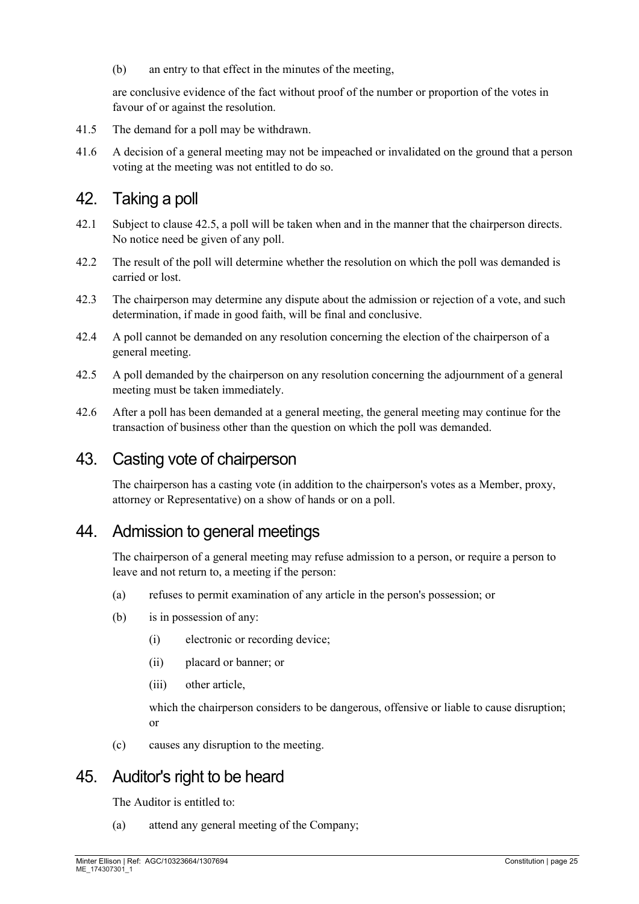(b) an entry to that effect in the minutes of the meeting,

are conclusive evidence of the fact without proof of the number or proportion of the votes in favour of or against the resolution.

- 41.5 The demand for a poll may be withdrawn.
- 41.6 A decision of a general meeting may not be impeached or invalidated on the ground that a person voting at the meeting was not entitled to do so.

#### 42. Taking a poll

- 42.1 Subject to clause [42.5,](#page-24-0) a poll will be taken when and in the manner that the chairperson directs. No notice need be given of any poll.
- 42.2 The result of the poll will determine whether the resolution on which the poll was demanded is carried or lost.
- 42.3 The chairperson may determine any dispute about the admission or rejection of a vote, and such determination, if made in good faith, will be final and conclusive.
- 42.4 A poll cannot be demanded on any resolution concerning the election of the chairperson of a general meeting.
- <span id="page-24-0"></span>42.5 A poll demanded by the chairperson on any resolution concerning the adjournment of a general meeting must be taken immediately.
- 42.6 After a poll has been demanded at a general meeting, the general meeting may continue for the transaction of business other than the question on which the poll was demanded.

### 43. Casting vote of chairperson

The chairperson has a casting vote (in addition to the chairperson's votes as a Member, proxy, attorney or Representative) on a show of hands or on a poll.

#### 44. Admission to general meetings

The chairperson of a general meeting may refuse admission to a person, or require a person to leave and not return to, a meeting if the person:

- (a) refuses to permit examination of any article in the person's possession; or
- (b) is in possession of any:
	- (i) electronic or recording device;
	- (ii) placard or banner; or
	- (iii) other article,

which the chairperson considers to be dangerous, offensive or liable to cause disruption; or

(c) causes any disruption to the meeting.

# 45. Auditor's right to be heard

The Auditor is entitled to:

(a) attend any general meeting of the Company;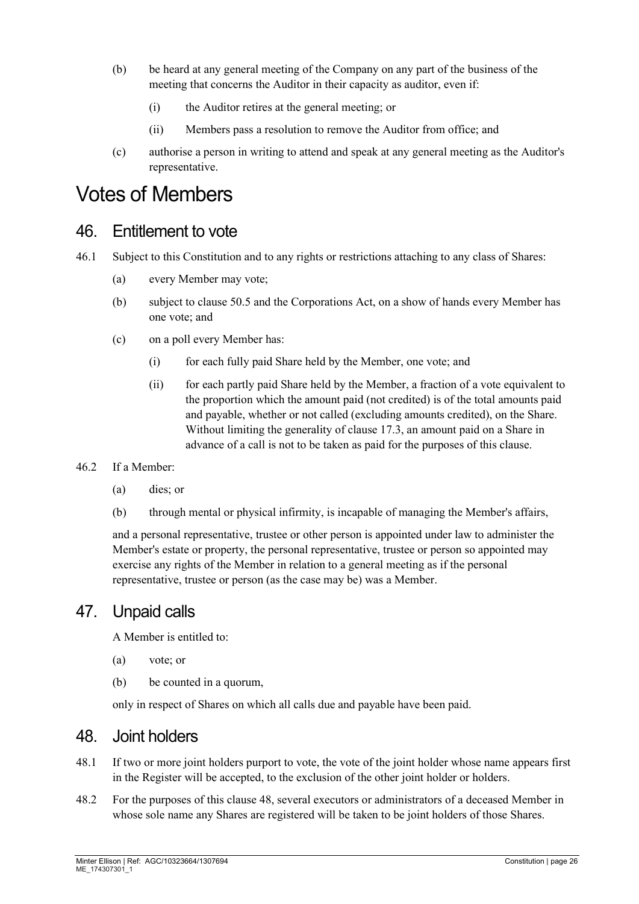- (b) be heard at any general meeting of the Company on any part of the business of the meeting that concerns the Auditor in their capacity as auditor, even if:
	- (i) the Auditor retires at the general meeting; or
	- (ii) Members pass a resolution to remove the Auditor from office; and
- (c) authorise a person in writing to attend and speak at any general meeting as the Auditor's representative.

# Votes of Members

#### <span id="page-25-0"></span>46. Entitlement to vote

- 46.1 Subject to this Constitution and to any rights or restrictions attaching to any class of Shares:
	- (a) every Member may vote;
	- (b) subject to clause [50.5](#page-26-0) and the Corporations Act, on a show of hands every Member has one vote; and
	- (c) on a poll every Member has:
		- (i) for each fully paid Share held by the Member, one vote; and
		- (ii) for each partly paid Share held by the Member, a fraction of a vote equivalent to the proportion which the amount paid (not credited) is of the total amounts paid and payable, whether or not called (excluding amounts credited), on the Share. Without limiting the generality of clause [17.3,](#page-13-2) an amount paid on a Share in advance of a call is not to be taken as paid for the purposes of this clause.

#### 46.2 If a Member:

- (a) dies; or
- (b) through mental or physical infirmity, is incapable of managing the Member's affairs,

and a personal representative, trustee or other person is appointed under law to administer the Member's estate or property, the personal representative, trustee or person so appointed may exercise any rights of the Member in relation to a general meeting as if the personal representative, trustee or person (as the case may be) was a Member.

#### 47. Unpaid calls

A Member is entitled to:

- (a) vote; or
- (b) be counted in a quorum,

only in respect of Shares on which all calls due and payable have been paid.

#### <span id="page-25-1"></span>48. Joint holders

- 48.1 If two or more joint holders purport to vote, the vote of the joint holder whose name appears first in the Register will be accepted, to the exclusion of the other joint holder or holders.
- 48.2 For the purposes of this clause [48,](#page-25-1) several executors or administrators of a deceased Member in whose sole name any Shares are registered will be taken to be joint holders of those Shares.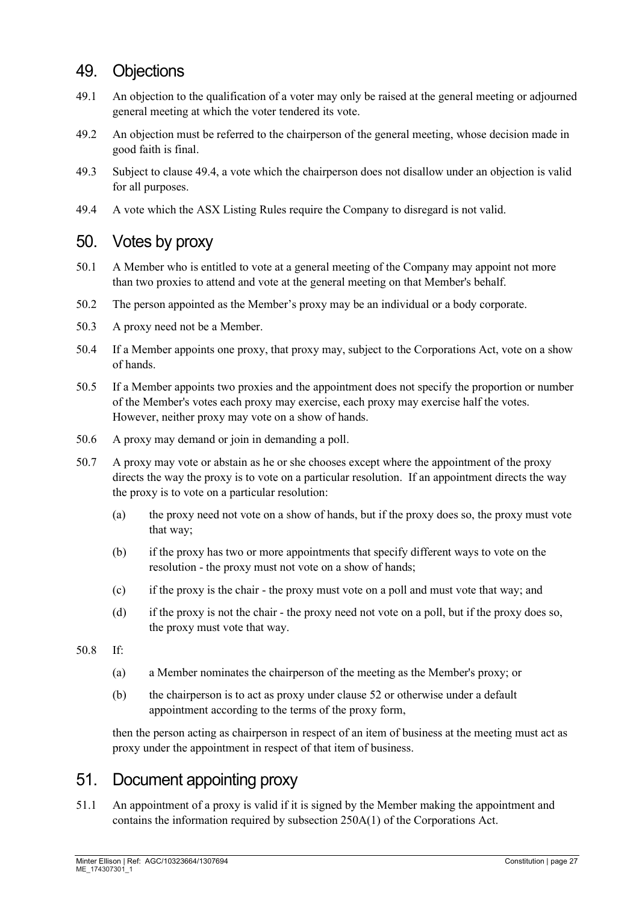### 49. Objections

- 49.1 An objection to the qualification of a voter may only be raised at the general meeting or adjourned general meeting at which the voter tendered its vote.
- 49.2 An objection must be referred to the chairperson of the general meeting, whose decision made in good faith is final.
- 49.3 Subject to clause [49.4,](#page-26-1) a vote which the chairperson does not disallow under an objection is valid for all purposes.
- <span id="page-26-1"></span>49.4 A vote which the ASX Listing Rules require the Company to disregard is not valid.

#### 50. Votes by proxy

- 50.1 A Member who is entitled to vote at a general meeting of the Company may appoint not more than two proxies to attend and vote at the general meeting on that Member's behalf.
- 50.2 The person appointed as the Member's proxy may be an individual or a body corporate.
- 50.3 A proxy need not be a Member.
- 50.4 If a Member appoints one proxy, that proxy may, subject to the Corporations Act, vote on a show of hands.
- <span id="page-26-0"></span>50.5 If a Member appoints two proxies and the appointment does not specify the proportion or number of the Member's votes each proxy may exercise, each proxy may exercise half the votes. However, neither proxy may vote on a show of hands.
- 50.6 A proxy may demand or join in demanding a poll.
- 50.7 A proxy may vote or abstain as he or she chooses except where the appointment of the proxy directs the way the proxy is to vote on a particular resolution. If an appointment directs the way the proxy is to vote on a particular resolution:
	- (a) the proxy need not vote on a show of hands, but if the proxy does so, the proxy must vote that way;
	- (b) if the proxy has two or more appointments that specify different ways to vote on the resolution - the proxy must not vote on a show of hands;
	- (c) if the proxy is the chair the proxy must vote on a poll and must vote that way; and
	- (d) if the proxy is not the chair the proxy need not vote on a poll, but if the proxy does so, the proxy must vote that way.
- 50.8 If:
	- (a) a Member nominates the chairperson of the meeting as the Member's proxy; or
	- (b) the chairperson is to act as proxy under clause [52](#page-27-1) or otherwise under a default appointment according to the terms of the proxy form,

then the person acting as chairperson in respect of an item of business at the meeting must act as proxy under the appointment in respect of that item of business.

# 51. Document appointing proxy

<span id="page-26-2"></span>51.1 An appointment of a proxy is valid if it is signed by the Member making the appointment and contains the information required by subsection 250A(1) of the Corporations Act.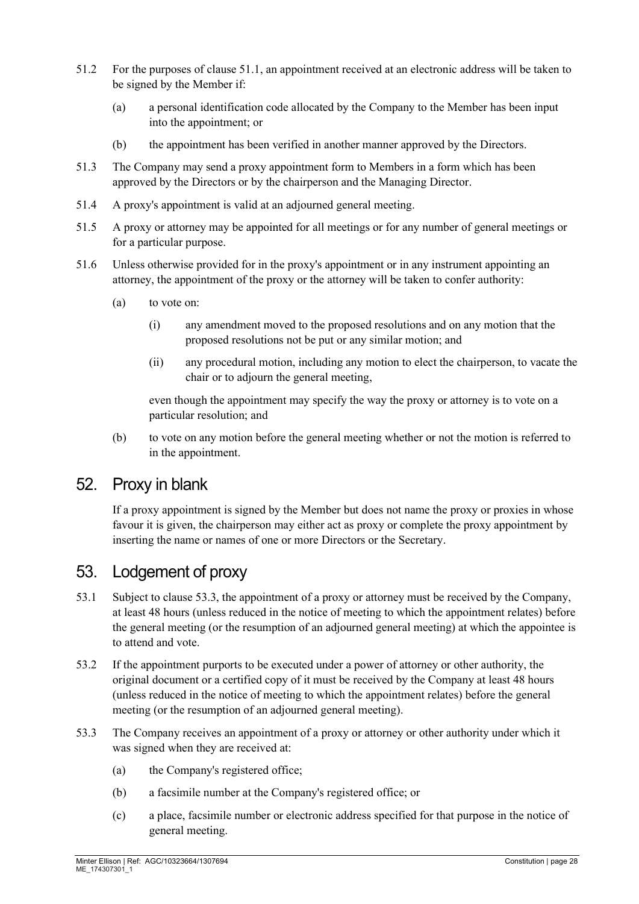- 51.2 For the purposes of clause [51.1,](#page-26-2) an appointment received at an electronic address will be taken to be signed by the Member if:
	- (a) a personal identification code allocated by the Company to the Member has been input into the appointment; or
	- (b) the appointment has been verified in another manner approved by the Directors.
- 51.3 The Company may send a proxy appointment form to Members in a form which has been approved by the Directors or by the chairperson and the Managing Director.
- 51.4 A proxy's appointment is valid at an adjourned general meeting.
- 51.5 A proxy or attorney may be appointed for all meetings or for any number of general meetings or for a particular purpose.
- 51.6 Unless otherwise provided for in the proxy's appointment or in any instrument appointing an attorney, the appointment of the proxy or the attorney will be taken to confer authority:
	- (a) to vote on:
		- (i) any amendment moved to the proposed resolutions and on any motion that the proposed resolutions not be put or any similar motion; and
		- (ii) any procedural motion, including any motion to elect the chairperson, to vacate the chair or to adjourn the general meeting,

even though the appointment may specify the way the proxy or attorney is to vote on a particular resolution; and

(b) to vote on any motion before the general meeting whether or not the motion is referred to in the appointment.

#### <span id="page-27-1"></span>52. Proxy in blank

If a proxy appointment is signed by the Member but does not name the proxy or proxies in whose favour it is given, the chairperson may either act as proxy or complete the proxy appointment by inserting the name or names of one or more Directors or the Secretary.

#### 53. Lodgement of proxy

- <span id="page-27-0"></span>53.1 Subject to clause [53.3,](#page-27-2) the appointment of a proxy or attorney must be received by the Company, at least 48 hours (unless reduced in the notice of meeting to which the appointment relates) before the general meeting (or the resumption of an adjourned general meeting) at which the appointee is to attend and vote.
- 53.2 If the appointment purports to be executed under a power of attorney or other authority, the original document or a certified copy of it must be received by the Company at least 48 hours (unless reduced in the notice of meeting to which the appointment relates) before the general meeting (or the resumption of an adjourned general meeting).
- <span id="page-27-2"></span>53.3 The Company receives an appointment of a proxy or attorney or other authority under which it was signed when they are received at:
	- (a) the Company's registered office;
	- (b) a facsimile number at the Company's registered office; or
	- (c) a place, facsimile number or electronic address specified for that purpose in the notice of general meeting.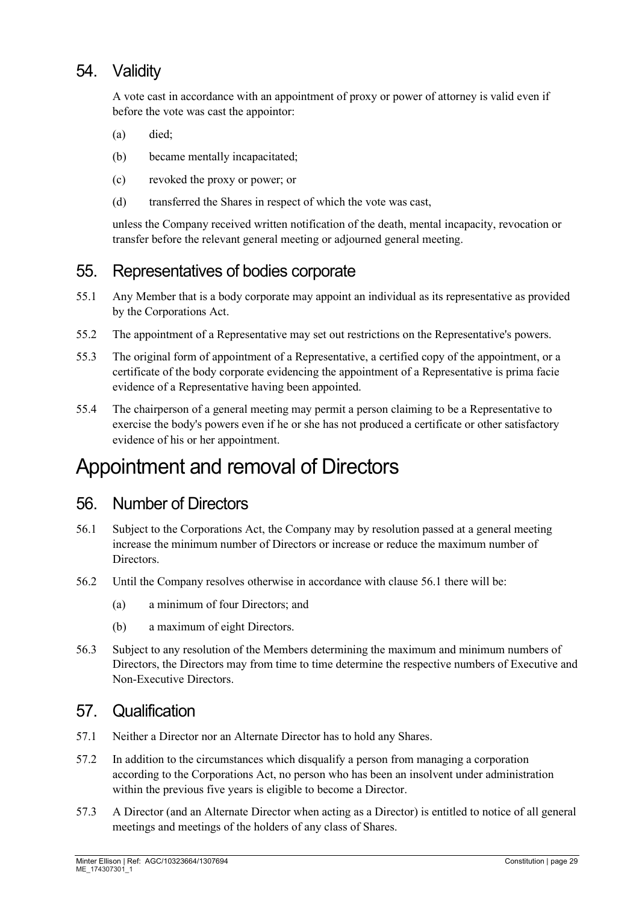# 54. Validity

A vote cast in accordance with an appointment of proxy or power of attorney is valid even if before the vote was cast the appointor:

- (a) died;
- (b) became mentally incapacitated;
- (c) revoked the proxy or power; or
- (d) transferred the Shares in respect of which the vote was cast,

unless the Company received written notification of the death, mental incapacity, revocation or transfer before the relevant general meeting or adjourned general meeting.

#### 55. Representatives of bodies corporate

- <span id="page-28-0"></span>55.1 Any Member that is a body corporate may appoint an individual as its representative as provided by the Corporations Act.
- 55.2 The appointment of a Representative may set out restrictions on the Representative's powers.
- 55.3 The original form of appointment of a Representative, a certified copy of the appointment, or a certificate of the body corporate evidencing the appointment of a Representative is prima facie evidence of a Representative having been appointed.
- 55.4 The chairperson of a general meeting may permit a person claiming to be a Representative to exercise the body's powers even if he or she has not produced a certificate or other satisfactory evidence of his or her appointment.

# Appointment and removal of Directors

#### <span id="page-28-2"></span>56. Number of Directors

- <span id="page-28-1"></span>56.1 Subject to the Corporations Act, the Company may by resolution passed at a general meeting increase the minimum number of Directors or increase or reduce the maximum number of Directors.
- 56.2 Until the Company resolves otherwise in accordance with clause [56.1](#page-28-1) there will be:
	- (a) a minimum of four Directors; and
	- (b) a maximum of eight Directors.
- 56.3 Subject to any resolution of the Members determining the maximum and minimum numbers of Directors, the Directors may from time to time determine the respective numbers of Executive and Non-Executive Directors.

#### 57. Qualification

- 57.1 Neither a Director nor an Alternate Director has to hold any Shares.
- 57.2 In addition to the circumstances which disqualify a person from managing a corporation according to the Corporations Act, no person who has been an insolvent under administration within the previous five years is eligible to become a Director.
- 57.3 A Director (and an Alternate Director when acting as a Director) is entitled to notice of all general meetings and meetings of the holders of any class of Shares.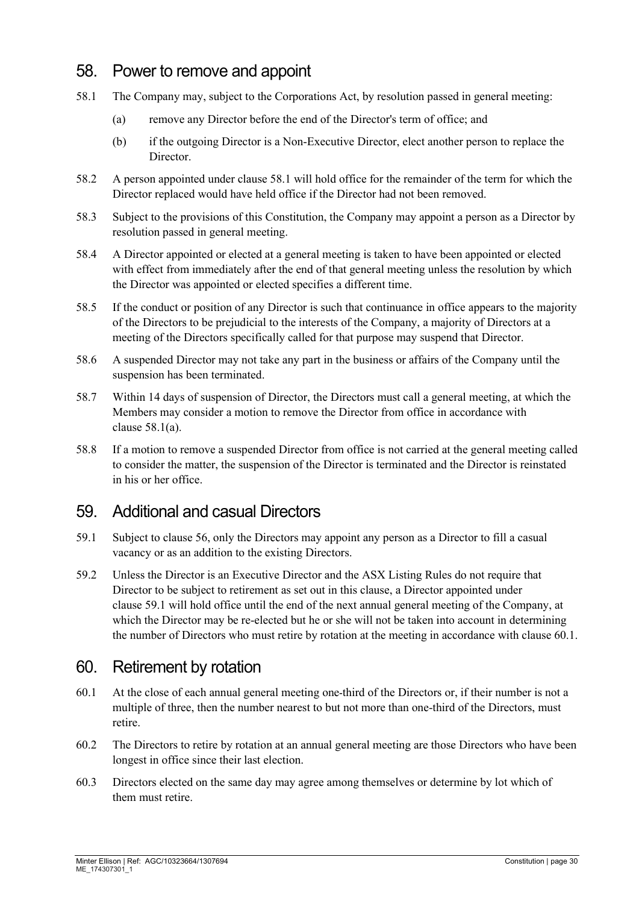### 58. Power to remove and appoint

- <span id="page-29-1"></span><span id="page-29-0"></span>58.1 The Company may, subject to the Corporations Act, by resolution passed in general meeting:
	- (a) remove any Director before the end of the Director's term of office; and
	- (b) if the outgoing Director is a Non-Executive Director, elect another person to replace the Director.
- 58.2 A person appointed under clause [58.1](#page-29-0) will hold office for the remainder of the term for which the Director replaced would have held office if the Director had not been removed.
- 58.3 Subject to the provisions of this Constitution, the Company may appoint a person as a Director by resolution passed in general meeting.
- 58.4 A Director appointed or elected at a general meeting is taken to have been appointed or elected with effect from immediately after the end of that general meeting unless the resolution by which the Director was appointed or elected specifies a different time.
- 58.5 If the conduct or position of any Director is such that continuance in office appears to the majority of the Directors to be prejudicial to the interests of the Company, a majority of Directors at a meeting of the Directors specifically called for that purpose may suspend that Director.
- 58.6 A suspended Director may not take any part in the business or affairs of the Company until the suspension has been terminated.
- 58.7 Within 14 days of suspension of Director, the Directors must call a general meeting, at which the Members may consider a motion to remove the Director from office in accordance with clause [58.1\(a\).](#page-29-1)
- 58.8 If a motion to remove a suspended Director from office is not carried at the general meeting called to consider the matter, the suspension of the Director is terminated and the Director is reinstated in his or her office.

#### 59. Additional and casual Directors

- <span id="page-29-2"></span>59.1 Subject to clause [56,](#page-28-2) only the Directors may appoint any person as a Director to fill a casual vacancy or as an addition to the existing Directors.
- <span id="page-29-4"></span>59.2 Unless the Director is an Executive Director and the ASX Listing Rules do not require that Director to be subject to retirement as set out in this clause, a Director appointed under clause [59.1](#page-29-2) will hold office until the end of the next annual general meeting of the Company, at which the Director may be re-elected but he or she will not be taken into account in determining the number of Directors who must retire by rotation at the meeting in accordance with clause [60.1.](#page-29-3)

# 60. Retirement by rotation

- <span id="page-29-3"></span>60.1 At the close of each annual general meeting one-third of the Directors or, if their number is not a multiple of three, then the number nearest to but not more than one-third of the Directors, must retire.
- 60.2 The Directors to retire by rotation at an annual general meeting are those Directors who have been longest in office since their last election.
- 60.3 Directors elected on the same day may agree among themselves or determine by lot which of them must retire.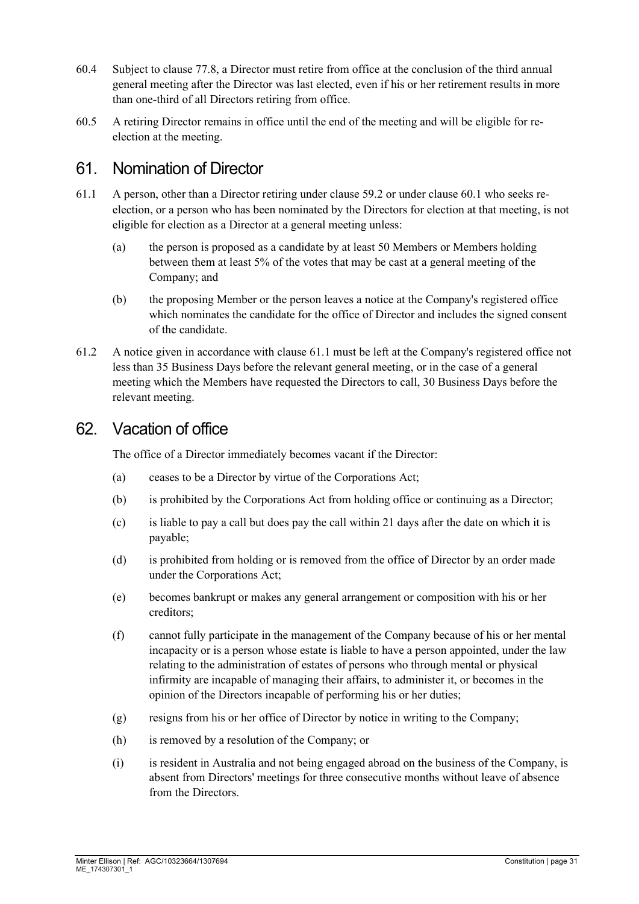- 60.4 Subject to clause [77.8,](#page-36-2) a Director must retire from office at the conclusion of the third annual general meeting after the Director was last elected, even if his or her retirement results in more than one-third of all Directors retiring from office.
- 60.5 A retiring Director remains in office until the end of the meeting and will be eligible for reelection at the meeting.

#### 61. Nomination of Director

- <span id="page-30-0"></span>61.1 A person, other than a Director retiring under clause [59.2](#page-29-4) or under clause [60.1](#page-29-3) who seeks reelection, or a person who has been nominated by the Directors for election at that meeting, is not eligible for election as a Director at a general meeting unless:
	- (a) the person is proposed as a candidate by at least 50 Members or Members holding between them at least 5% of the votes that may be cast at a general meeting of the Company; and
	- (b) the proposing Member or the person leaves a notice at the Company's registered office which nominates the candidate for the office of Director and includes the signed consent of the candidate.
- 61.2 A notice given in accordance with clause [61.1](#page-30-0) must be left at the Company's registered office not less than 35 Business Days before the relevant general meeting, or in the case of a general meeting which the Members have requested the Directors to call, 30 Business Days before the relevant meeting.

#### 62. Vacation of office

The office of a Director immediately becomes vacant if the Director:

- (a) ceases to be a Director by virtue of the Corporations Act;
- (b) is prohibited by the Corporations Act from holding office or continuing as a Director;
- (c) is liable to pay a call but does pay the call within 21 days after the date on which it is payable;
- (d) is prohibited from holding or is removed from the office of Director by an order made under the Corporations Act;
- (e) becomes bankrupt or makes any general arrangement or composition with his or her creditors;
- (f) cannot fully participate in the management of the Company because of his or her mental incapacity or is a person whose estate is liable to have a person appointed, under the law relating to the administration of estates of persons who through mental or physical infirmity are incapable of managing their affairs, to administer it, or becomes in the opinion of the Directors incapable of performing his or her duties;
- (g) resigns from his or her office of Director by notice in writing to the Company;
- (h) is removed by a resolution of the Company; or
- (i) is resident in Australia and not being engaged abroad on the business of the Company, is absent from Directors' meetings for three consecutive months without leave of absence from the Directors.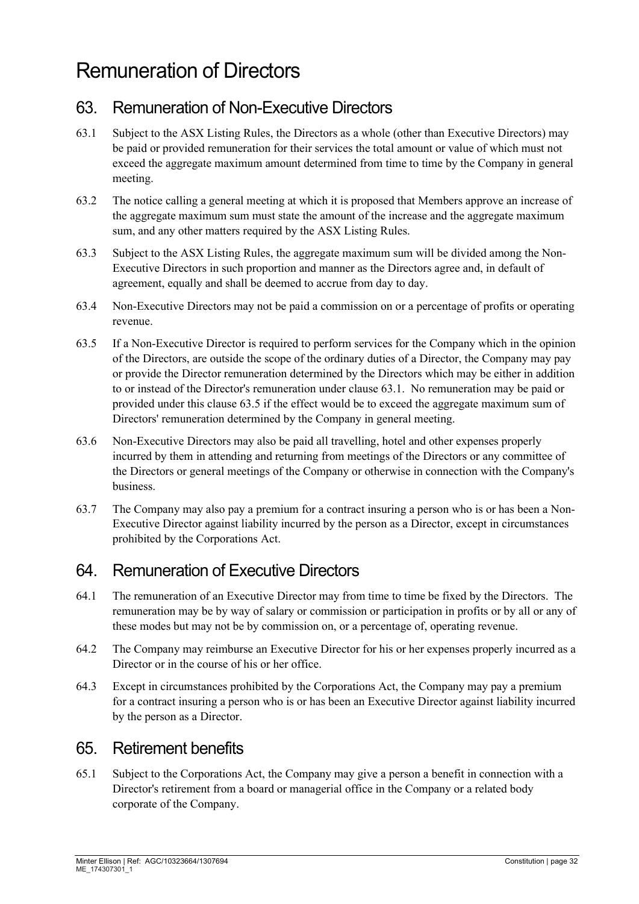# Remuneration of Directors

# 63. Remuneration of Non-Executive Directors

- <span id="page-31-0"></span>63.1 Subject to the ASX Listing Rules, the Directors as a whole (other than Executive Directors) may be paid or provided remuneration for their services the total amount or value of which must not exceed the aggregate maximum amount determined from time to time by the Company in general meeting.
- 63.2 The notice calling a general meeting at which it is proposed that Members approve an increase of the aggregate maximum sum must state the amount of the increase and the aggregate maximum sum, and any other matters required by the ASX Listing Rules.
- 63.3 Subject to the ASX Listing Rules, the aggregate maximum sum will be divided among the Non-Executive Directors in such proportion and manner as the Directors agree and, in default of agreement, equally and shall be deemed to accrue from day to day.
- 63.4 Non-Executive Directors may not be paid a commission on or a percentage of profits or operating revenue.
- <span id="page-31-1"></span>63.5 If a Non-Executive Director is required to perform services for the Company which in the opinion of the Directors, are outside the scope of the ordinary duties of a Director, the Company may pay or provide the Director remuneration determined by the Directors which may be either in addition to or instead of the Director's remuneration under clause [63.1.](#page-31-0) No remuneration may be paid or provided under this clause [63.5](#page-31-1) if the effect would be to exceed the aggregate maximum sum of Directors' remuneration determined by the Company in general meeting.
- 63.6 Non-Executive Directors may also be paid all travelling, hotel and other expenses properly incurred by them in attending and returning from meetings of the Directors or any committee of the Directors or general meetings of the Company or otherwise in connection with the Company's business.
- 63.7 The Company may also pay a premium for a contract insuring a person who is or has been a Non-Executive Director against liability incurred by the person as a Director, except in circumstances prohibited by the Corporations Act.

# 64. Remuneration of Executive Directors

- 64.1 The remuneration of an Executive Director may from time to time be fixed by the Directors. The remuneration may be by way of salary or commission or participation in profits or by all or any of these modes but may not be by commission on, or a percentage of, operating revenue.
- 64.2 The Company may reimburse an Executive Director for his or her expenses properly incurred as a Director or in the course of his or her office.
- 64.3 Except in circumstances prohibited by the Corporations Act, the Company may pay a premium for a contract insuring a person who is or has been an Executive Director against liability incurred by the person as a Director.

# 65. Retirement benefits

65.1 Subject to the Corporations Act, the Company may give a person a benefit in connection with a Director's retirement from a board or managerial office in the Company or a related body corporate of the Company.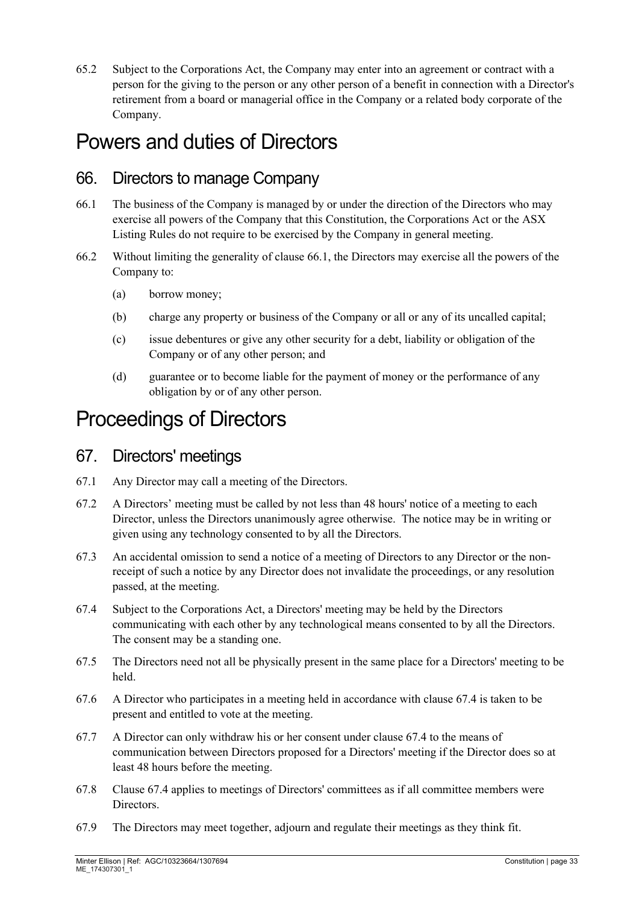65.2 Subject to the Corporations Act, the Company may enter into an agreement or contract with a person for the giving to the person or any other person of a benefit in connection with a Director's retirement from a board or managerial office in the Company or a related body corporate of the Company.

# Powers and duties of Directors

### 66. Directors to manage Company

- <span id="page-32-0"></span>66.1 The business of the Company is managed by or under the direction of the Directors who may exercise all powers of the Company that this Constitution, the Corporations Act or the ASX Listing Rules do not require to be exercised by the Company in general meeting.
- 66.2 Without limiting the generality of clause [66.1,](#page-32-0) the Directors may exercise all the powers of the Company to:
	- (a) borrow money;
	- (b) charge any property or business of the Company or all or any of its uncalled capital;
	- (c) issue debentures or give any other security for a debt, liability or obligation of the Company or of any other person; and
	- (d) guarantee or to become liable for the payment of money or the performance of any obligation by or of any other person.

# Proceedings of Directors

#### 67. Directors' meetings

- 67.1 Any Director may call a meeting of the Directors.
- 67.2 A Directors' meeting must be called by not less than 48 hours' notice of a meeting to each Director, unless the Directors unanimously agree otherwise. The notice may be in writing or given using any technology consented to by all the Directors.
- 67.3 An accidental omission to send a notice of a meeting of Directors to any Director or the nonreceipt of such a notice by any Director does not invalidate the proceedings, or any resolution passed, at the meeting.
- <span id="page-32-1"></span>67.4 Subject to the Corporations Act, a Directors' meeting may be held by the Directors communicating with each other by any technological means consented to by all the Directors. The consent may be a standing one.
- 67.5 The Directors need not all be physically present in the same place for a Directors' meeting to be held.
- 67.6 A Director who participates in a meeting held in accordance with clause [67.4](#page-32-1) is taken to be present and entitled to vote at the meeting.
- 67.7 A Director can only withdraw his or her consent under clause [67.4](#page-32-1) to the means of communication between Directors proposed for a Directors' meeting if the Director does so at least 48 hours before the meeting.
- 67.8 Clause [67.4](#page-32-1) applies to meetings of Directors' committees as if all committee members were Directors.
- 67.9 The Directors may meet together, adjourn and regulate their meetings as they think fit.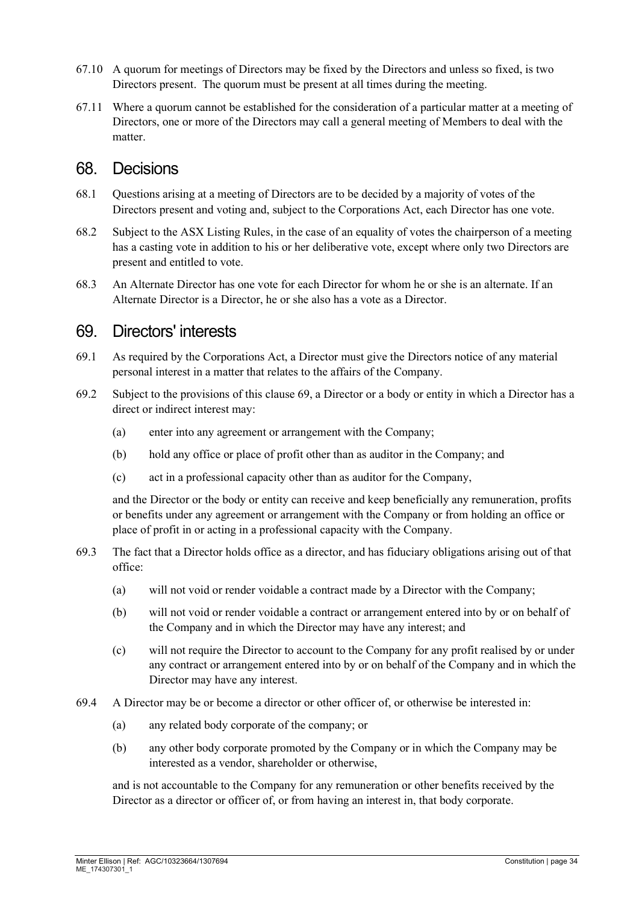- 67.10 A quorum for meetings of Directors may be fixed by the Directors and unless so fixed, is two Directors present. The quorum must be present at all times during the meeting.
- 67.11 Where a quorum cannot be established for the consideration of a particular matter at a meeting of Directors, one or more of the Directors may call a general meeting of Members to deal with the matter.

#### 68. Decisions

- 68.1 Questions arising at a meeting of Directors are to be decided by a majority of votes of the Directors present and voting and, subject to the Corporations Act, each Director has one vote.
- 68.2 Subject to the ASX Listing Rules, in the case of an equality of votes the chairperson of a meeting has a casting vote in addition to his or her deliberative vote, except where only two Directors are present and entitled to vote.
- 68.3 An Alternate Director has one vote for each Director for whom he or she is an alternate. If an Alternate Director is a Director, he or she also has a vote as a Director.

#### <span id="page-33-0"></span>69. Directors' interests

- 69.1 As required by the Corporations Act, a Director must give the Directors notice of any material personal interest in a matter that relates to the affairs of the Company.
- 69.2 Subject to the provisions of this clause [69,](#page-33-0) a Director or a body or entity in which a Director has a direct or indirect interest may:
	- (a) enter into any agreement or arrangement with the Company;
	- (b) hold any office or place of profit other than as auditor in the Company; and
	- (c) act in a professional capacity other than as auditor for the Company,

and the Director or the body or entity can receive and keep beneficially any remuneration, profits or benefits under any agreement or arrangement with the Company or from holding an office or place of profit in or acting in a professional capacity with the Company.

- 69.3 The fact that a Director holds office as a director, and has fiduciary obligations arising out of that office:
	- (a) will not void or render voidable a contract made by a Director with the Company;
	- (b) will not void or render voidable a contract or arrangement entered into by or on behalf of the Company and in which the Director may have any interest; and
	- (c) will not require the Director to account to the Company for any profit realised by or under any contract or arrangement entered into by or on behalf of the Company and in which the Director may have any interest.
- 69.4 A Director may be or become a director or other officer of, or otherwise be interested in:
	- (a) any related body corporate of the company; or
	- (b) any other body corporate promoted by the Company or in which the Company may be interested as a vendor, shareholder or otherwise,

and is not accountable to the Company for any remuneration or other benefits received by the Director as a director or officer of, or from having an interest in, that body corporate.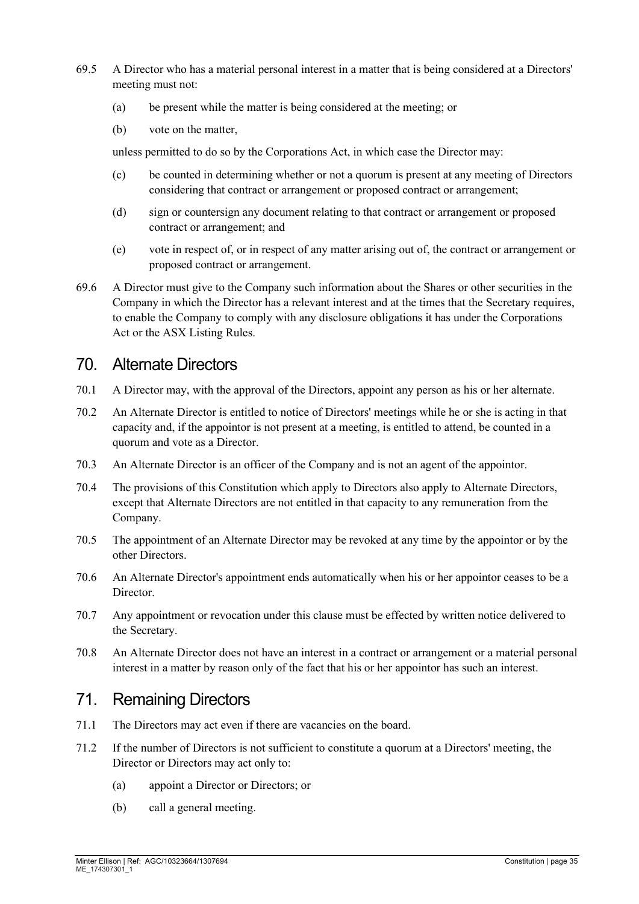- 69.5 A Director who has a material personal interest in a matter that is being considered at a Directors' meeting must not:
	- (a) be present while the matter is being considered at the meeting; or
	- (b) vote on the matter,

unless permitted to do so by the Corporations Act, in which case the Director may:

- (c) be counted in determining whether or not a quorum is present at any meeting of Directors considering that contract or arrangement or proposed contract or arrangement;
- (d) sign or countersign any document relating to that contract or arrangement or proposed contract or arrangement; and
- (e) vote in respect of, or in respect of any matter arising out of, the contract or arrangement or proposed contract or arrangement.
- 69.6 A Director must give to the Company such information about the Shares or other securities in the Company in which the Director has a relevant interest and at the times that the Secretary requires, to enable the Company to comply with any disclosure obligations it has under the Corporations Act or the ASX Listing Rules.

#### <span id="page-34-0"></span>70. Alternate Directors

- 70.1 A Director may, with the approval of the Directors, appoint any person as his or her alternate.
- 70.2 An Alternate Director is entitled to notice of Directors' meetings while he or she is acting in that capacity and, if the appointor is not present at a meeting, is entitled to attend, be counted in a quorum and vote as a Director.
- 70.3 An Alternate Director is an officer of the Company and is not an agent of the appointor.
- 70.4 The provisions of this Constitution which apply to Directors also apply to Alternate Directors, except that Alternate Directors are not entitled in that capacity to any remuneration from the Company.
- 70.5 The appointment of an Alternate Director may be revoked at any time by the appointor or by the other Directors.
- 70.6 An Alternate Director's appointment ends automatically when his or her appointor ceases to be a Director.
- 70.7 Any appointment or revocation under this clause must be effected by written notice delivered to the Secretary.
- 70.8 An Alternate Director does not have an interest in a contract or arrangement or a material personal interest in a matter by reason only of the fact that his or her appointor has such an interest.

# 71. Remaining Directors

- 71.1 The Directors may act even if there are vacancies on the board.
- 71.2 If the number of Directors is not sufficient to constitute a quorum at a Directors' meeting, the Director or Directors may act only to:
	- (a) appoint a Director or Directors; or
	- (b) call a general meeting.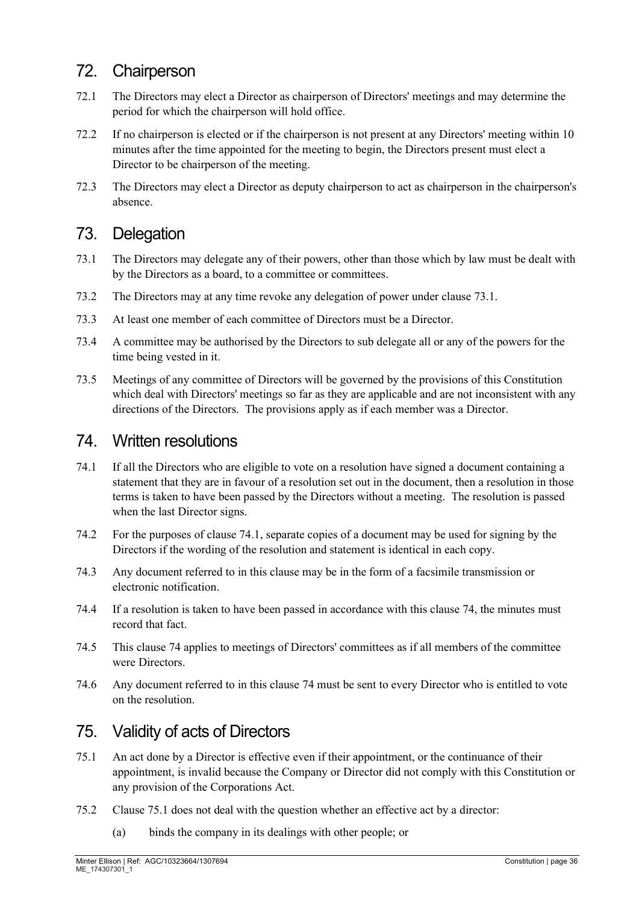# 72. Chairperson

- 72.1 The Directors may elect a Director as chairperson of Directors' meetings and may determine the period for which the chairperson will hold office.
- 72.2 If no chairperson is elected or if the chairperson is not present at any Directors' meeting within 10 minutes after the time appointed for the meeting to begin, the Directors present must elect a Director to be chairperson of the meeting.
- 72.3 The Directors may elect a Director as deputy chairperson to act as chairperson in the chairperson's absence.

### 73. Delegation

- <span id="page-35-0"></span>73.1 The Directors may delegate any of their powers, other than those which by law must be dealt with by the Directors as a board, to a committee or committees.
- 73.2 The Directors may at any time revoke any delegation of power under clause [73.1.](#page-35-0)
- 73.3 At least one member of each committee of Directors must be a Director.
- 73.4 A committee may be authorised by the Directors to sub delegate all or any of the powers for the time being vested in it.
- 73.5 Meetings of any committee of Directors will be governed by the provisions of this Constitution which deal with Directors' meetings so far as they are applicable and are not inconsistent with any directions of the Directors. The provisions apply as if each member was a Director.

#### <span id="page-35-2"></span>74. Written resolutions

- <span id="page-35-1"></span>74.1 If all the Directors who are eligible to vote on a resolution have signed a document containing a statement that they are in favour of a resolution set out in the document, then a resolution in those terms is taken to have been passed by the Directors without a meeting. The resolution is passed when the last Director signs.
- 74.2 For the purposes of clause [74.1,](#page-35-1) separate copies of a document may be used for signing by the Directors if the wording of the resolution and statement is identical in each copy.
- 74.3 Any document referred to in this clause may be in the form of a facsimile transmission or electronic notification.
- 74.4 If a resolution is taken to have been passed in accordance with this clause [74,](#page-35-2) the minutes must record that fact.
- 74.5 This clause [74](#page-35-2) applies to meetings of Directors' committees as if all members of the committee were Directors.
- 74.6 Any document referred to in this clause [74](#page-35-2) must be sent to every Director who is entitled to vote on the resolution.

# 75. Validity of acts of Directors

- <span id="page-35-3"></span>75.1 An act done by a Director is effective even if their appointment, or the continuance of their appointment, is invalid because the Company or Director did not comply with this Constitution or any provision of the Corporations Act.
- 75.2 Clause [75.1](#page-35-3) does not deal with the question whether an effective act by a director:
	- (a) binds the company in its dealings with other people; or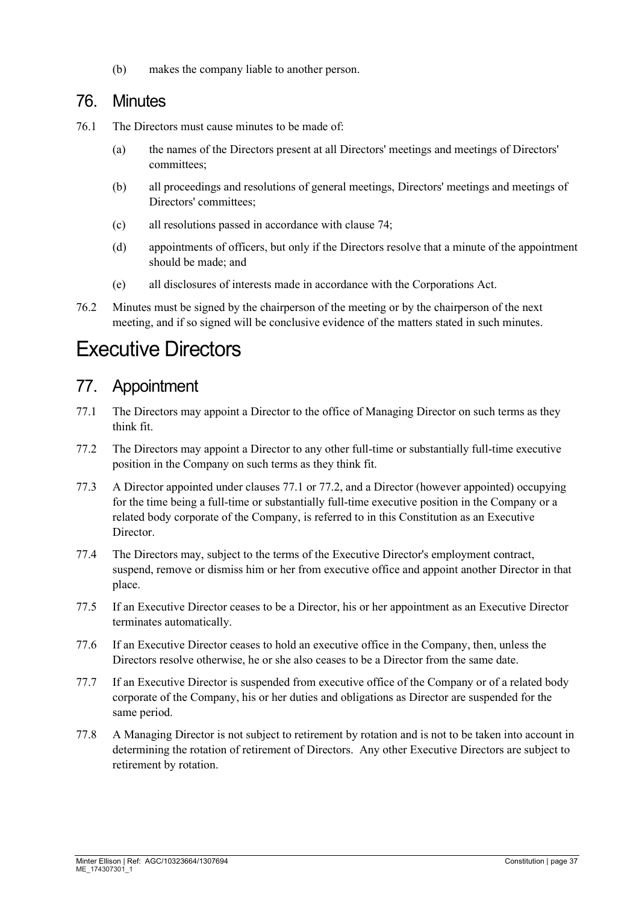(b) makes the company liable to another person.

#### 76. Minutes

- 76.1 The Directors must cause minutes to be made of:
	- (a) the names of the Directors present at all Directors' meetings and meetings of Directors' committees;
	- (b) all proceedings and resolutions of general meetings, Directors' meetings and meetings of Directors' committees;
	- (c) all resolutions passed in accordance with clause [74;](#page-35-2)
	- (d) appointments of officers, but only if the Directors resolve that a minute of the appointment should be made; and
	- (e) all disclosures of interests made in accordance with the Corporations Act.
- 76.2 Minutes must be signed by the chairperson of the meeting or by the chairperson of the next meeting, and if so signed will be conclusive evidence of the matters stated in such minutes.

# Executive Directors

### 77. Appointment

- <span id="page-36-1"></span>77.1 The Directors may appoint a Director to the office of Managing Director on such terms as they think fit.
- <span id="page-36-0"></span>77.2 The Directors may appoint a Director to any other full-time or substantially full-time executive position in the Company on such terms as they think fit.
- 77.3 A Director appointed under clauses [77.1](#page-36-1) or [77.2,](#page-36-0) and a Director (however appointed) occupying for the time being a full-time or substantially full-time executive position in the Company or a related body corporate of the Company, is referred to in this Constitution as an Executive Director.
- 77.4 The Directors may, subject to the terms of the Executive Director's employment contract, suspend, remove or dismiss him or her from executive office and appoint another Director in that place.
- 77.5 If an Executive Director ceases to be a Director, his or her appointment as an Executive Director terminates automatically.
- 77.6 If an Executive Director ceases to hold an executive office in the Company, then, unless the Directors resolve otherwise, he or she also ceases to be a Director from the same date.
- 77.7 If an Executive Director is suspended from executive office of the Company or of a related body corporate of the Company, his or her duties and obligations as Director are suspended for the same period.
- <span id="page-36-2"></span>77.8 A Managing Director is not subject to retirement by rotation and is not to be taken into account in determining the rotation of retirement of Directors. Any other Executive Directors are subject to retirement by rotation.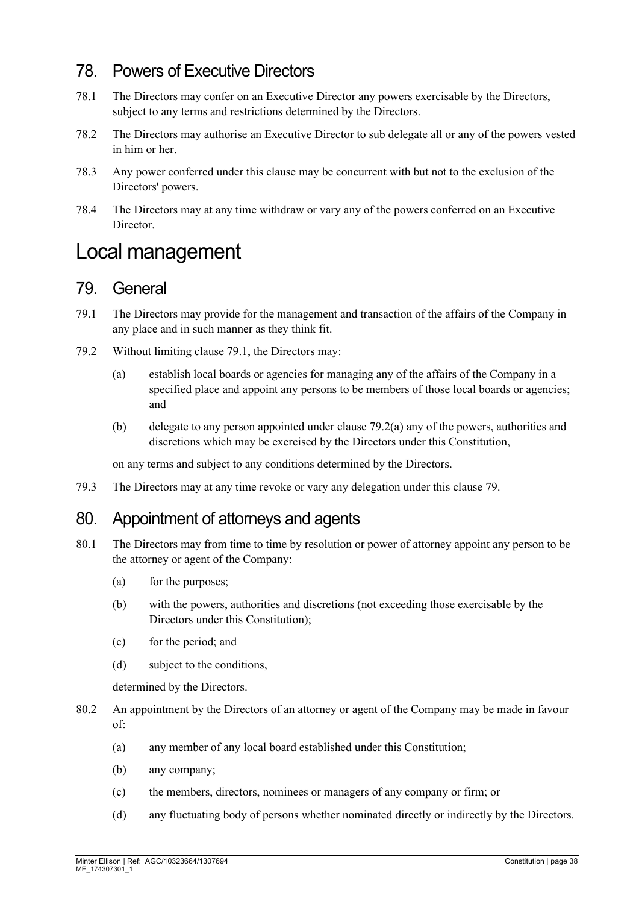# 78. Powers of Executive Directors

- 78.1 The Directors may confer on an Executive Director any powers exercisable by the Directors, subject to any terms and restrictions determined by the Directors.
- 78.2 The Directors may authorise an Executive Director to sub delegate all or any of the powers vested in him or her.
- 78.3 Any power conferred under this clause may be concurrent with but not to the exclusion of the Directors' powers.
- 78.4 The Directors may at any time withdraw or vary any of the powers conferred on an Executive Director.

# Local management

#### <span id="page-37-2"></span>79. General

- <span id="page-37-0"></span>79.1 The Directors may provide for the management and transaction of the affairs of the Company in any place and in such manner as they think fit.
- <span id="page-37-1"></span>79.2 Without limiting clause [79.1,](#page-37-0) the Directors may:
	- (a) establish local boards or agencies for managing any of the affairs of the Company in a specified place and appoint any persons to be members of those local boards or agencies; and
	- (b) delegate to any person appointed under clause [79.2\(a\)](#page-37-1) any of the powers, authorities and discretions which may be exercised by the Directors under this Constitution,

on any terms and subject to any conditions determined by the Directors.

79.3 The Directors may at any time revoke or vary any delegation under this clause [79.](#page-37-2)

#### <span id="page-37-3"></span>80. Appointment of attorneys and agents

- 80.1 The Directors may from time to time by resolution or power of attorney appoint any person to be the attorney or agent of the Company:
	- (a) for the purposes;
	- (b) with the powers, authorities and discretions (not exceeding those exercisable by the Directors under this Constitution);
	- (c) for the period; and
	- (d) subject to the conditions,

determined by the Directors.

- 80.2 An appointment by the Directors of an attorney or agent of the Company may be made in favour of:
	- (a) any member of any local board established under this Constitution;
	- (b) any company;
	- (c) the members, directors, nominees or managers of any company or firm; or
	- (d) any fluctuating body of persons whether nominated directly or indirectly by the Directors.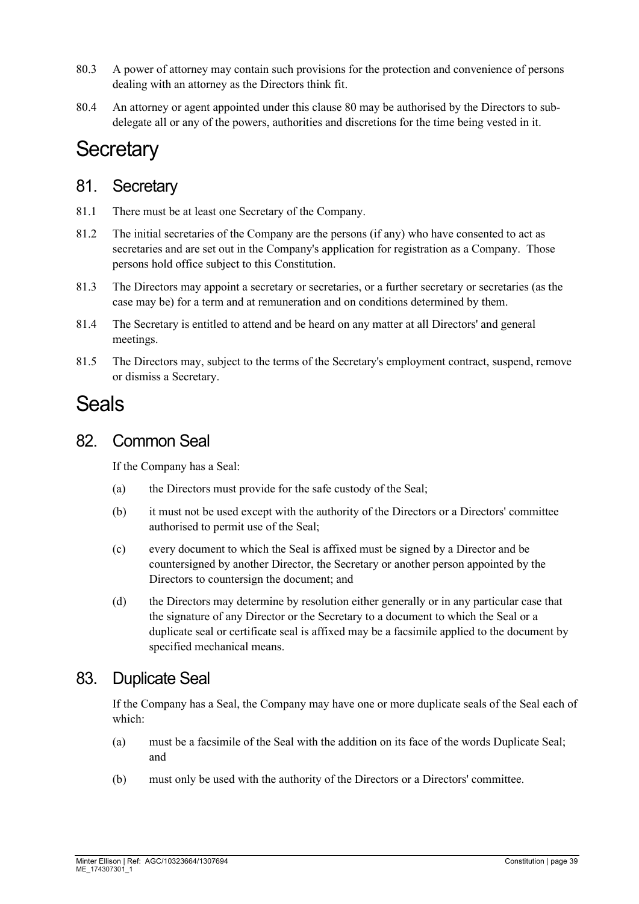- 80.3 A power of attorney may contain such provisions for the protection and convenience of persons dealing with an attorney as the Directors think fit.
- [80](#page-37-3).4 An attorney or agent appointed under this clause 80 may be authorised by the Directors to subdelegate all or any of the powers, authorities and discretions for the time being vested in it.

# **Secretary**

#### 81. Secretary

- 81.1 There must be at least one Secretary of the Company.
- 81.2 The initial secretaries of the Company are the persons (if any) who have consented to act as secretaries and are set out in the Company's application for registration as a Company. Those persons hold office subject to this Constitution.
- 81.3 The Directors may appoint a secretary or secretaries, or a further secretary or secretaries (as the case may be) for a term and at remuneration and on conditions determined by them.
- 81.4 The Secretary is entitled to attend and be heard on any matter at all Directors' and general meetings.
- 81.5 The Directors may, subject to the terms of the Secretary's employment contract, suspend, remove or dismiss a Secretary.

# Seals

#### 82. Common Seal

If the Company has a Seal:

- (a) the Directors must provide for the safe custody of the Seal;
- (b) it must not be used except with the authority of the Directors or a Directors' committee authorised to permit use of the Seal;
- (c) every document to which the Seal is affixed must be signed by a Director and be countersigned by another Director, the Secretary or another person appointed by the Directors to countersign the document; and
- (d) the Directors may determine by resolution either generally or in any particular case that the signature of any Director or the Secretary to a document to which the Seal or a duplicate seal or certificate seal is affixed may be a facsimile applied to the document by specified mechanical means.

#### 83. Duplicate Seal

If the Company has a Seal, the Company may have one or more duplicate seals of the Seal each of which:

- (a) must be a facsimile of the Seal with the addition on its face of the words Duplicate Seal; and
- (b) must only be used with the authority of the Directors or a Directors' committee.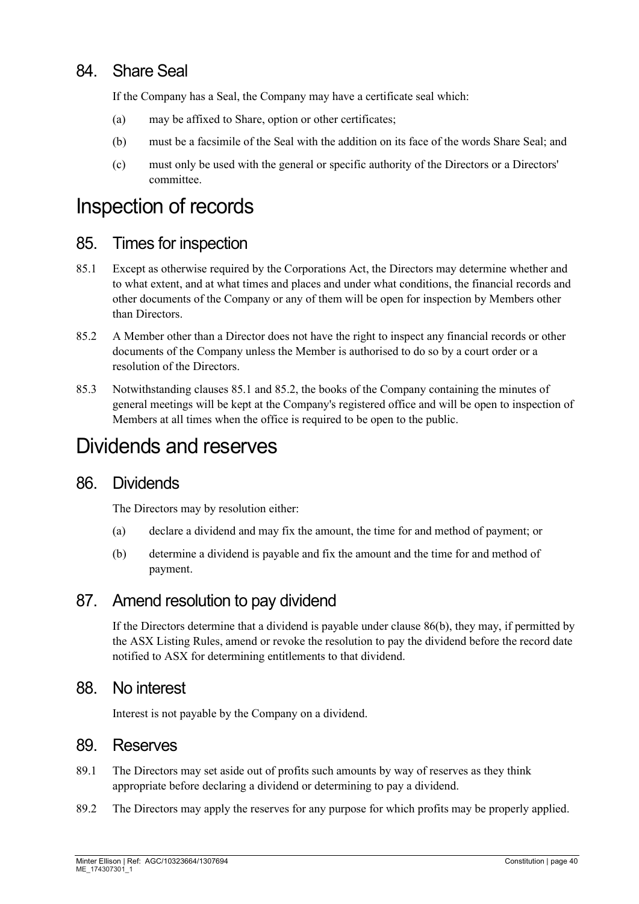# 84. Share Seal

If the Company has a Seal, the Company may have a certificate seal which:

- (a) may be affixed to Share, option or other certificates;
- (b) must be a facsimile of the Seal with the addition on its face of the words Share Seal; and
- (c) must only be used with the general or specific authority of the Directors or a Directors' committee.

# Inspection of records

#### 85. Times for inspection

- <span id="page-39-0"></span>85.1 Except as otherwise required by the Corporations Act, the Directors may determine whether and to what extent, and at what times and places and under what conditions, the financial records and other documents of the Company or any of them will be open for inspection by Members other than Directors.
- <span id="page-39-1"></span>85.2 A Member other than a Director does not have the right to inspect any financial records or other documents of the Company unless the Member is authorised to do so by a court order or a resolution of the Directors.
- 85.3 Notwithstanding clauses [85.1](#page-39-0) and [85.2,](#page-39-1) the books of the Company containing the minutes of general meetings will be kept at the Company's registered office and will be open to inspection of Members at all times when the office is required to be open to the public.

# Dividends and reserves

#### 86. Dividends

The Directors may by resolution either:

- (a) declare a dividend and may fix the amount, the time for and method of payment; or
- <span id="page-39-2"></span>(b) determine a dividend is payable and fix the amount and the time for and method of payment.

#### 87. Amend resolution to pay dividend

If the Directors determine that a dividend is payable under clause [86\(b\),](#page-39-2) they may, if permitted by the ASX Listing Rules, amend or revoke the resolution to pay the dividend before the record date notified to ASX for determining entitlements to that dividend.

#### 88. No interest

Interest is not payable by the Company on a dividend.

#### 89. Reserves

- 89.1 The Directors may set aside out of profits such amounts by way of reserves as they think appropriate before declaring a dividend or determining to pay a dividend.
- 89.2 The Directors may apply the reserves for any purpose for which profits may be properly applied.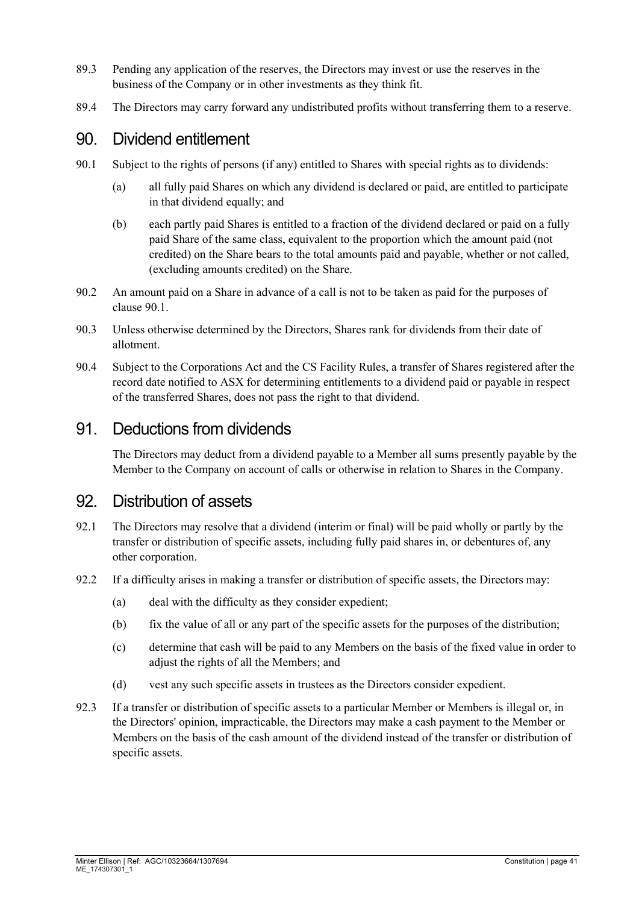- 89.3 Pending any application of the reserves, the Directors may invest or use the reserves in the business of the Company or in other investments as they think fit.
- 89.4 The Directors may carry forward any undistributed profits without transferring them to a reserve.

#### 90. Dividend entitlement

- <span id="page-40-0"></span>90.1 Subject to the rights of persons (if any) entitled to Shares with special rights as to dividends:
	- (a) all fully paid Shares on which any dividend is declared or paid, are entitled to participate in that dividend equally; and
	- (b) each partly paid Shares is entitled to a fraction of the dividend declared or paid on a fully paid Share of the same class, equivalent to the proportion which the amount paid (not credited) on the Share bears to the total amounts paid and payable, whether or not called, (excluding amounts credited) on the Share.
- 90.2 An amount paid on a Share in advance of a call is not to be taken as paid for the purposes of clause [90.1.](#page-40-0)
- 90.3 Unless otherwise determined by the Directors, Shares rank for dividends from their date of allotment.
- 90.4 Subject to the Corporations Act and the CS Facility Rules, a transfer of Shares registered after the record date notified to ASX for determining entitlements to a dividend paid or payable in respect of the transferred Shares, does not pass the right to that dividend.

#### 91. Deductions from dividends

The Directors may deduct from a dividend payable to a Member all sums presently payable by the Member to the Company on account of calls or otherwise in relation to Shares in the Company.

#### 92. Distribution of assets

- 92.1 The Directors may resolve that a dividend (interim or final) will be paid wholly or partly by the transfer or distribution of specific assets, including fully paid shares in, or debentures of, any other corporation.
- 92.2 If a difficulty arises in making a transfer or distribution of specific assets, the Directors may:
	- (a) deal with the difficulty as they consider expedient;
	- (b) fix the value of all or any part of the specific assets for the purposes of the distribution;
	- (c) determine that cash will be paid to any Members on the basis of the fixed value in order to adjust the rights of all the Members; and
	- (d) vest any such specific assets in trustees as the Directors consider expedient.
- 92.3 If a transfer or distribution of specific assets to a particular Member or Members is illegal or, in the Directors' opinion, impracticable, the Directors may make a cash payment to the Member or Members on the basis of the cash amount of the dividend instead of the transfer or distribution of specific assets.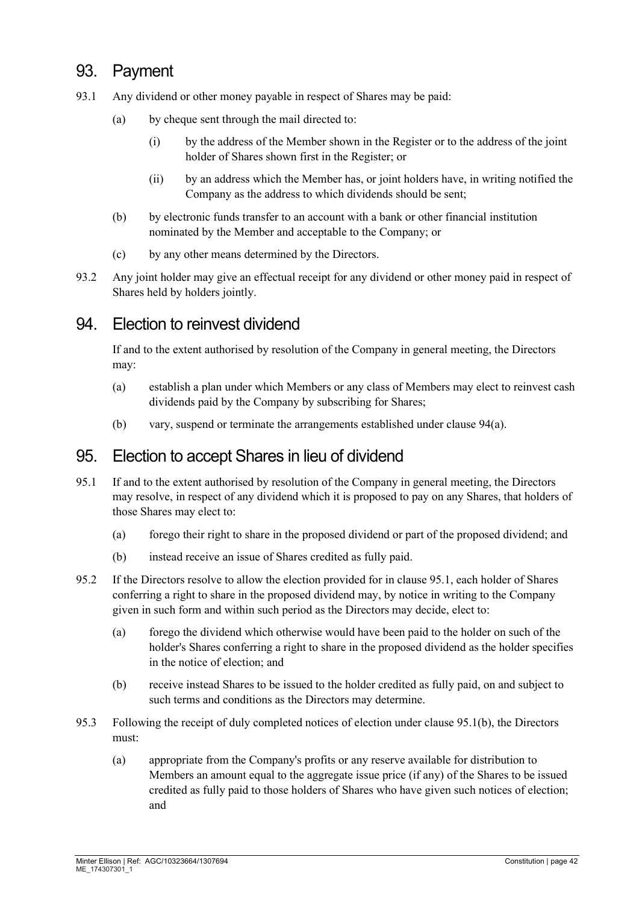# 93. Payment

- 93.1 Any dividend or other money payable in respect of Shares may be paid:
	- (a) by cheque sent through the mail directed to:
		- (i) by the address of the Member shown in the Register or to the address of the joint holder of Shares shown first in the Register; or
		- (ii) by an address which the Member has, or joint holders have, in writing notified the Company as the address to which dividends should be sent;
	- (b) by electronic funds transfer to an account with a bank or other financial institution nominated by the Member and acceptable to the Company; or
	- (c) by any other means determined by the Directors.
- 93.2 Any joint holder may give an effectual receipt for any dividend or other money paid in respect of Shares held by holders jointly.

#### 94. Election to reinvest dividend

If and to the extent authorised by resolution of the Company in general meeting, the Directors may:

- <span id="page-41-0"></span>(a) establish a plan under which Members or any class of Members may elect to reinvest cash dividends paid by the Company by subscribing for Shares;
- (b) vary, suspend or terminate the arrangements established under clause [94\(a\).](#page-41-0)

#### <span id="page-41-3"></span>95. Election to accept Shares in lieu of dividend

- <span id="page-41-1"></span>95.1 If and to the extent authorised by resolution of the Company in general meeting, the Directors may resolve, in respect of any dividend which it is proposed to pay on any Shares, that holders of those Shares may elect to:
	- (a) forego their right to share in the proposed dividend or part of the proposed dividend; and
	- (b) instead receive an issue of Shares credited as fully paid.
- <span id="page-41-2"></span>95.2 If the Directors resolve to allow the election provided for in clause [95.1,](#page-41-1) each holder of Shares conferring a right to share in the proposed dividend may, by notice in writing to the Company given in such form and within such period as the Directors may decide, elect to:
	- (a) forego the dividend which otherwise would have been paid to the holder on such of the holder's Shares conferring a right to share in the proposed dividend as the holder specifies in the notice of election; and
	- (b) receive instead Shares to be issued to the holder credited as fully paid, on and subject to such terms and conditions as the Directors may determine.
- 95.3 Following the receipt of duly completed notices of election under clause [95.1\(b\),](#page-41-2) the Directors must:
	- (a) appropriate from the Company's profits or any reserve available for distribution to Members an amount equal to the aggregate issue price (if any) of the Shares to be issued credited as fully paid to those holders of Shares who have given such notices of election; and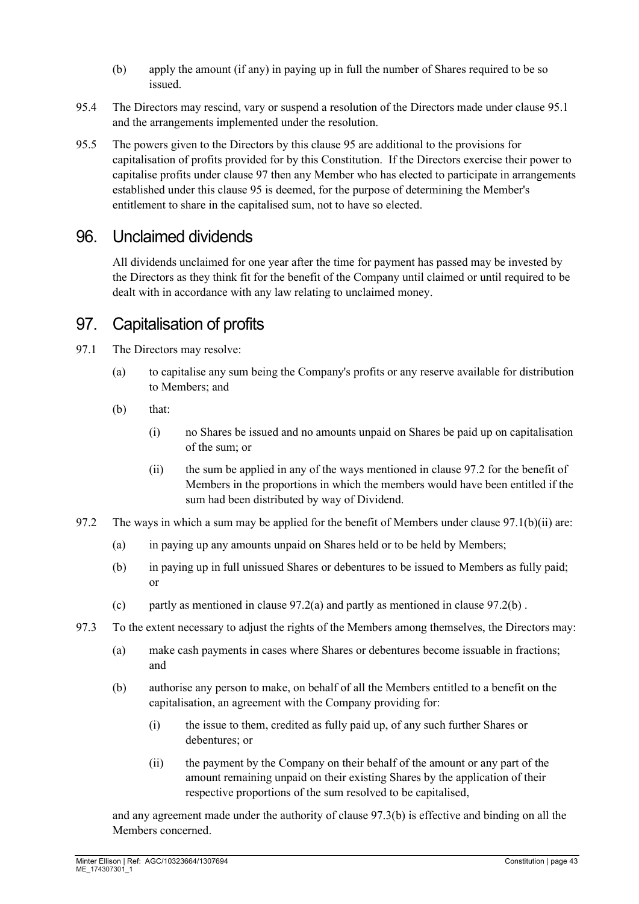- (b) apply the amount (if any) in paying up in full the number of Shares required to be so issued.
- 95.4 The Directors may rescind, vary or suspend a resolution of the Directors made under clause [95.1](#page-41-1) and the arrangements implemented under the resolution.
- 95.5 The powers given to the Directors by this clause [95](#page-41-3) are additional to the provisions for capitalisation of profits provided for by this Constitution. If the Directors exercise their power to capitalise profits under clause [97](#page-42-0) then any Member who has elected to participate in arrangements established under this clause [95](#page-41-3) is deemed, for the purpose of determining the Member's entitlement to share in the capitalised sum, not to have so elected.

### 96. Unclaimed dividends

All dividends unclaimed for one year after the time for payment has passed may be invested by the Directors as they think fit for the benefit of the Company until claimed or until required to be dealt with in accordance with any law relating to unclaimed money.

# <span id="page-42-0"></span>97. Capitalisation of profits

- 97.1 The Directors may resolve:
	- (a) to capitalise any sum being the Company's profits or any reserve available for distribution to Members; and
	- (b) that:
		- (i) no Shares be issued and no amounts unpaid on Shares be paid up on capitalisation of the sum; or
		- (ii) the sum be applied in any of the ways mentioned in clause [97.2](#page-42-1) for the benefit of Members in the proportions in which the members would have been entitled if the sum had been distributed by way of Dividend.
- <span id="page-42-4"></span><span id="page-42-3"></span><span id="page-42-2"></span><span id="page-42-1"></span>97.2 The ways in which a sum may be applied for the benefit of Members under clause [97.1\(b\)\(ii\)](#page-42-2) are:
	- (a) in paying up any amounts unpaid on Shares held or to be held by Members;
	- (b) in paying up in full unissued Shares or debentures to be issued to Members as fully paid; or
	- (c) partly as mentioned in clause [97.2\(a\)](#page-42-3) and partly as mentioned in clause [97.2\(b\)](#page-42-4) .
- <span id="page-42-5"></span>97.3 To the extent necessary to adjust the rights of the Members among themselves, the Directors may:
	- (a) make cash payments in cases where Shares or debentures become issuable in fractions; and
	- (b) authorise any person to make, on behalf of all the Members entitled to a benefit on the capitalisation, an agreement with the Company providing for:
		- (i) the issue to them, credited as fully paid up, of any such further Shares or debentures; or
		- (ii) the payment by the Company on their behalf of the amount or any part of the amount remaining unpaid on their existing Shares by the application of their respective proportions of the sum resolved to be capitalised,

and any agreement made under the authority of clause [97.3\(b\)](#page-42-5) is effective and binding on all the Members concerned.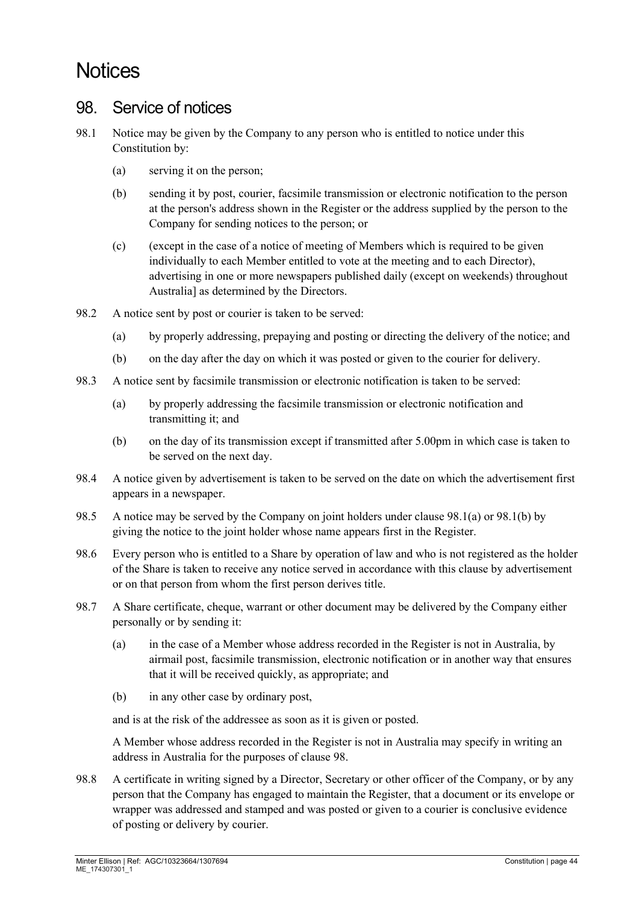# **Notices**

#### <span id="page-43-2"></span>98. Service of notices

- <span id="page-43-1"></span><span id="page-43-0"></span>98.1 Notice may be given by the Company to any person who is entitled to notice under this Constitution by:
	- (a) serving it on the person;
	- (b) sending it by post, courier, facsimile transmission or electronic notification to the person at the person's address shown in the Register or the address supplied by the person to the Company for sending notices to the person; or
	- (c) (except in the case of a notice of meeting of Members which is required to be given individually to each Member entitled to vote at the meeting and to each Director), advertising in one or more newspapers published daily (except on weekends) throughout Australia] as determined by the Directors.
- 98.2 A notice sent by post or courier is taken to be served:
	- (a) by properly addressing, prepaying and posting or directing the delivery of the notice; and
	- (b) on the day after the day on which it was posted or given to the courier for delivery.
- 98.3 A notice sent by facsimile transmission or electronic notification is taken to be served:
	- (a) by properly addressing the facsimile transmission or electronic notification and transmitting it; and
	- (b) on the day of its transmission except if transmitted after 5.00pm in which case is taken to be served on the next day.
- 98.4 A notice given by advertisement is taken to be served on the date on which the advertisement first appears in a newspaper.
- 98.5 A notice may be served by the Company on joint holders under clause [98.1\(a\)](#page-43-0) or [98.1\(b\)](#page-43-1) by giving the notice to the joint holder whose name appears first in the Register.
- 98.6 Every person who is entitled to a Share by operation of law and who is not registered as the holder of the Share is taken to receive any notice served in accordance with this clause by advertisement or on that person from whom the first person derives title.
- 98.7 A Share certificate, cheque, warrant or other document may be delivered by the Company either personally or by sending it:
	- (a) in the case of a Member whose address recorded in the Register is not in Australia, by airmail post, facsimile transmission, electronic notification or in another way that ensures that it will be received quickly, as appropriate; and
	- (b) in any other case by ordinary post,

and is at the risk of the addressee as soon as it is given or posted.

A Member whose address recorded in the Register is not in Australia may specify in writing an address in Australia for the purposes of clause [98.](#page-43-2)

98.8 A certificate in writing signed by a Director, Secretary or other officer of the Company, or by any person that the Company has engaged to maintain the Register, that a document or its envelope or wrapper was addressed and stamped and was posted or given to a courier is conclusive evidence of posting or delivery by courier.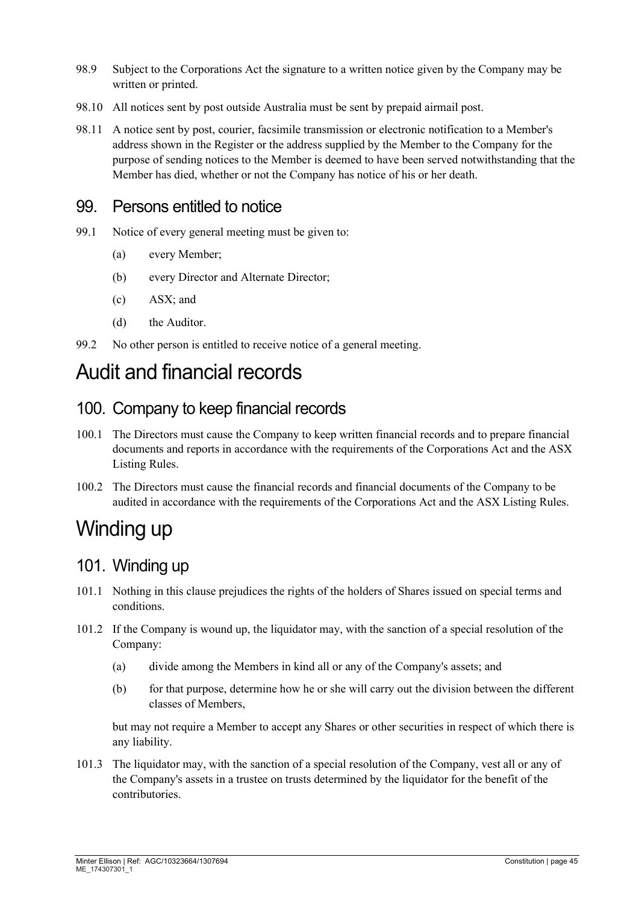- 98.9 Subject to the Corporations Act the signature to a written notice given by the Company may be written or printed.
- 98.10 All notices sent by post outside Australia must be sent by prepaid airmail post.
- 98.11 A notice sent by post, courier, facsimile transmission or electronic notification to a Member's address shown in the Register or the address supplied by the Member to the Company for the purpose of sending notices to the Member is deemed to have been served notwithstanding that the Member has died, whether or not the Company has notice of his or her death.

#### 99. Persons entitled to notice

- <span id="page-44-0"></span>99.1 Notice of every general meeting must be given to:
	- (a) every Member;
	- (b) every Director and Alternate Director;
	- (c) ASX; and
	- (d) the Auditor.
- 99.2 No other person is entitled to receive notice of a general meeting.

# Audit and financial records

#### 100. Company to keep financial records

- 100.1 The Directors must cause the Company to keep written financial records and to prepare financial documents and reports in accordance with the requirements of the Corporations Act and the ASX Listing Rules.
- 100.2 The Directors must cause the financial records and financial documents of the Company to be audited in accordance with the requirements of the Corporations Act and the ASX Listing Rules.

# Winding up

#### 101. Winding up

- 101.1 Nothing in this clause prejudices the rights of the holders of Shares issued on special terms and conditions.
- 101.2 If the Company is wound up, the liquidator may, with the sanction of a special resolution of the Company:
	- (a) divide among the Members in kind all or any of the Company's assets; and
	- (b) for that purpose, determine how he or she will carry out the division between the different classes of Members,

but may not require a Member to accept any Shares or other securities in respect of which there is any liability.

101.3 The liquidator may, with the sanction of a special resolution of the Company, vest all or any of the Company's assets in a trustee on trusts determined by the liquidator for the benefit of the contributories.